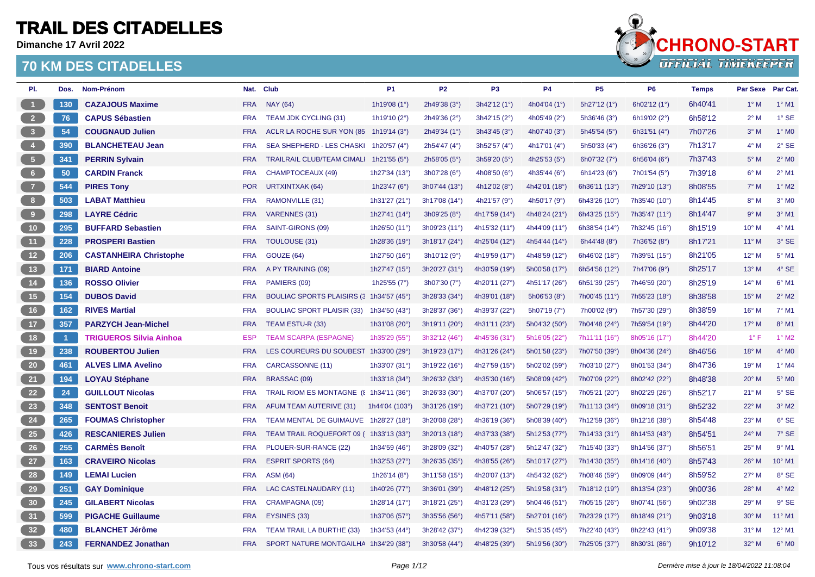**Dimanche 17 Avril 2022**



| PI.                                                   | Dos.           | Nom-Prénom                     |            | Nat. Club                                | <b>P1</b>      | <b>P2</b>     | P <sub>3</sub> | <b>P4</b>             | <b>P5</b>             | <b>P6</b>             | <b>Temps</b> | Par Sexe Par Cat. |                 |
|-------------------------------------------------------|----------------|--------------------------------|------------|------------------------------------------|----------------|---------------|----------------|-----------------------|-----------------------|-----------------------|--------------|-------------------|-----------------|
| $\blacksquare$                                        | 130            | <b>CAZAJOUS Maxime</b>         | <b>FRA</b> | <b>NAY (64)</b>                          | 1h19'08 (1°)   | 2h49'38 (3°)  | 3h42'12 (1°)   | 4h04'04 (1°)          | 5h27'12 (1°)          | 6h02'12 (1°)          | 6h40'41      | $1^\circ$ M       | $1°$ M1         |
|                                                       | 76             | <b>CAPUS Sébastien</b>         | <b>FRA</b> | TEAM JDK CYCLING (31)                    | 1h19'10 (2°)   | 2h49'36 (2°)  | 3h42'15 (2°)   | 4h05'49 (2°)          | 5h36'46 (3°)          | 6h19'02 (2°)          | 6h58'12      | $2^{\circ}$ M     | $1°$ SE         |
| $\begin{array}{ c c } \hline 3 \\ \hline \end{array}$ | 54             | <b>COUGNAUD Julien</b>         | <b>FRA</b> | ACLR LA ROCHE SUR YON (85 1h19'14 (3°)   |                | 2h49'34 (1°)  | 3h43'45 (3°)   | 4h07'40 (3°)          | 5h45'54 (5°)          | 6h31'51 (4°)          | 7h07'26      | $3^\circ$ M       | $1^\circ$ MO    |
| $\begin{array}{ c c } \hline \end{array}$             | 390            | <b>BLANCHETEAU Jean</b>        | <b>FRA</b> | SEA SHEPHERD - LES CHASKI                | 1h20'57 (4°)   | 2h54'47 (4°)  | 3h52'57 (4°)   | 4h17'01 (4°)          | 5h50'33 (4°)          | 6h36'26 $(3°)$        | 7h13'17      | $4^\circ$ M       | $2°$ SE         |
| $\frac{1}{2}$                                         | 341            | <b>PERRIN Sylvain</b>          | <b>FRA</b> | TRAILRAIL CLUB/TEAM CIMALI 1h21'55 (5°)  |                | 2h58'05 (5°)  | 3h59'20 (5°)   | 4h25'53 $(5^{\circ})$ | 6h07'32 (7°)          | 6h56'04 $(6^{\circ})$ | 7h37'43      | $5^\circ$ M       | $2^{\circ}$ MO  |
| 6 <sub>6</sub>                                        | 50             | <b>CARDIN Franck</b>           | <b>FRA</b> | CHAMPTOCEAUX (49)                        | 1h27'34 (13°)  | 3h07'28 (6°)  | 4h08'50 (6°)   | 4h35'44 (6°)          | 6h14'23 $(6^{\circ})$ | 7h01'54 (5°)          | 7h39'18      | $6^{\circ}$ M     | $2°$ M1         |
| $\overline{z}$                                        | 544            | <b>PIRES Tony</b>              | <b>POR</b> | <b>URTXINTXAK (64)</b>                   | 1h23'47 (6°)   | 3h07'44 (13°) | 4h12'02 (8°)   | 4h42'01 (18°)         | 6h36'11 (13°)         | 7h29'10 (13°)         | 8h08'55      | $7^\circ$ M       | $1^\circ$ M2    |
| 8 <sup>8</sup>                                        | 503            | <b>LABAT Matthieu</b>          | <b>FRA</b> | RAMONVILLE (31)                          | 1h31'27 (21°)  | 3h17'08 (14°) | 4h21'57 (9°)   | 4h50'17 (9°)          | 6h43'26 (10°)         | 7h35'40 (10°)         | 8h14'45      | $8^\circ$ M       | $3°$ MO         |
| $\begin{bmatrix} 9 \end{bmatrix}$                     | 298            | <b>LAYRE Cédric</b>            | <b>FRA</b> | <b>VARENNES (31)</b>                     | 1h27'41 (14°)  | 3h09'25 (8°)  | 4h17'59 (14°)  | 4h48'24 (21°)         | 6h43'25 (15°)         | 7h35'47 (11°)         | 8h14'47      | $9^\circ$ M       | $3°$ M1         |
| 10                                                    | 295            | <b>BUFFARD Sebastien</b>       | <b>FRA</b> | SAINT-GIRONS (09)                        | 1h26'50 (11°)  | 3h09'23 (11°) | 4h15'32 (11°)  | 4h44'09 (11°)         | 6h38'54 (14°)         | 7h32'45 (16°)         | 8h15'19      | $10^{\circ}$ M    | $4°$ M1         |
| (11)                                                  | 228            | <b>PROSPERI Bastien</b>        | <b>FRA</b> | TOULOUSE (31)                            | 1h28'36 (19°)  | 3h18'17 (24°) | 4h25'04 (12°)  | 4h54'44 (14°)         | 6h44'48 $(8^{\circ})$ | 7h36'52 (8°)          | 8h17'21      | $11^{\circ}$ M    | 3° SE           |
| 12                                                    | 206            | <b>CASTANHEIRA Christophe</b>  | <b>FRA</b> | GOUZE (64)                               | 1h27'50 (16°)  | 3h10'12 (9°)  | 4h19'59 (17°)  | 4h48'59 (12°)         | 6h46'02 (18°)         | 7h39'51 (15°)         | 8h21'05      | $12^{\circ}$ M    | 5° M1           |
| 13                                                    | 171            | <b>BIARD Antoine</b>           | <b>FRA</b> | A PY TRAINING (09)                       | 1h27'47 (15°)  | 3h20'27 (31°) | 4h30'59 (19°)  | 5h00'58 (17°)         | 6h54'56 (12°)         | 7h47'06 (9°)          | 8h25'17      | $13^{\circ}$ M    | $4^\circ$ SE    |
| 14                                                    | 136            | <b>ROSSO Olivier</b>           | <b>FRA</b> | PAMIERS (09)                             | 1h25'55 (7°)   | 3h07'30 (7°)  | 4h20'11 (27°)  | 4h51'17 (26°)         | 6h51'39 (25°)         | 7h46'59 (20°)         | 8h25'19      | $14^{\circ}$ M    | 6° M1           |
| 15                                                    | 154            | <b>DUBOS David</b>             | <b>FRA</b> | BOULIAC SPORTS PLAISIRS (3 1h34'57 (45°) |                | 3h28'33 (34°) | 4h39'01 (18°)  | 5h06'53 (8°)          | 7h00'45 (11°)         | 7h55'23 (18°)         | 8h38'58      | $15^{\circ}$ M    | $2^{\circ}$ M2  |
| 16                                                    | 162            | <b>RIVES Martial</b>           | <b>FRA</b> | <b>BOULIAC SPORT PLAISIR (33)</b>        | 1h34'50 (43°)  | 3h28'37 (36°) | 4h39'37 (22°)  | 5h07'19 (7°)          | 7h00'02 (9°)          | 7h57'30 (29°)         | 8h38'59      | 16° M             | $7°$ M1         |
| $-17$                                                 | 357            | <b>PARZYCH Jean-Michel</b>     | <b>FRA</b> | TEAM ESTU-R (33)                         | 1h31'08 (20°)  | 3h19'11 (20°) | 4h31'11 (23°)  | 5h04'32 (50°)         | 7h04'48 (24°)         | 7h59'54 (19°)         | 8h44'20      | $17^{\circ}$ M    | $8^\circ$ M1    |
| 18                                                    | $\overline{1}$ | <b>TRIGUEROS Silvia Ainhoa</b> | <b>ESP</b> | <b>TEAM SCARPA (ESPAGNE)</b>             | 1h35'29 (55°)  | 3h32'12 (46°) | 4h45'36 (31°)  | 5h16'05 (22°)         | 7h11'11 (16°)         | 8h05'16 (17°)         | 8h44'20      | $1^{\circ}$ F     | $1°$ M2         |
| 19                                                    | 238            | <b>ROUBERTOU Julien</b>        | <b>FRA</b> | LES COUREURS DU SOUBEST 1h33'00 (29°)    |                | 3h19'23 (17°) | 4h31'26 (24°)  | 5h01'58 (23°)         | 7h07'50 (39°)         | 8h04'36 (24°)         | 8h46'56      | $18^{\circ}$ M    | $4^{\circ}$ MO  |
| 20                                                    | 461            | <b>ALVES LIMA Avelino</b>      | <b>FRA</b> | CARCASSONNE (11)                         | 1h33'07 (31°)  | 3h19'22 (16°) | 4h27'59 (15°)  | 5h02'02 (59°)         | 7h03'10 (27°)         | 8h01'53 (34°)         | 8h47'36      | 19° M             | $1°$ M4         |
| 21                                                    | 194            | <b>LOYAU Stéphane</b>          | <b>FRA</b> | BRASSAC (09)                             | 1h33'18 (34°)  | 3h26'32 (33°) | 4h35'30 (16°)  | 5h08'09 (42°)         | 7h07'09 (22°)         | 8h02'42 (22°)         | 8h48'38      | $20^\circ$ M      | 5° MO           |
| 22                                                    | 24             | <b>GUILLOUT Nicolas</b>        | <b>FRA</b> | TRAIL RIOM ES MONTAGNE ({ 1h34'11 (36°)  |                | 3h26'33 (30°) | 4h37'07 (20°)  | 5h06'57 (15°)         | 7h05'21 (20°)         | 8h02'29 (26°)         | 8h52'17      | $21^{\circ}$ M    | $5^\circ$ SE    |
| 23                                                    | 348            | <b>SENTOST Benoit</b>          | <b>FRA</b> | AFUM TEAM AUTERIVE (31)                  | 1h44'04 (103°) | 3h31'26 (19°) | 4h37'21 (10°)  | 5h07'29 (19°)         | 7h11'13 (34°)         | 8h09'18 (31°)         | 8h52'32      | 22° M             | $3°$ M2         |
| 24                                                    | 265            | <b>FOUMAS Christopher</b>      | <b>FRA</b> | TEAM MENTAL DE GUIMAUVE                  | 1h28'27 (18°)  | 3h20'08 (28°) | 4h36'19 (36°)  | 5h08'39 (40°)         | 7h12'59 (36°)         | 8h12'16 (38°)         | 8h54'48      | $23^\circ$ M      | 6° SE           |
| 25                                                    | 426            | <b>RESCANIERES Julien</b>      | <b>FRA</b> | TEAM TRAIL ROQUEFORT 09 ( 1h33'13 (33°)  |                | 3h20'13 (18°) | 4h37'33 (38°)  | 5h12'53 (77°)         | 7h14'33 (31°)         | 8h14'53 (43°)         | 8h54'51      | $24^{\circ}$ M    | 7° SE           |
| 26                                                    | 255            | <b>CARMÈS Benoît</b>           | <b>FRA</b> | PLOUER-SUR-RANCE (22)                    | 1h34'59 (46°)  | 3h28'09 (32°) | 4h40'57 (28°)  | 5h12'47 (32°)         | 7h15'40 (33°)         | 8h14'56 (37°)         | 8h56'51      | 25° M             | $9°$ M1         |
| 27                                                    | 163            | <b>CRAVEIRO Nicolas</b>        | <b>FRA</b> | <b>ESPRIT SPORTS (64)</b>                | 1h32'53 (27°)  | 3h26'35 (35°) | 4h38'55 (26°)  | 5h10'17 (27°)         | 7h14'30 (35°)         | 8h14'16 (40°)         | 8h57'43      | 26° M             | 10° M1          |
| 28                                                    | 149            | <b>LEMAI Lucien</b>            | <b>FRA</b> | <b>ASM (64)</b>                          | 1h26'14 (8°)   | 3h11'58 (15°) | 4h20'07 (13°)  | 4h54'32 (62°)         | 7h08'46 (59°)         | 8h09'09 (44°)         | 8h59'52      | $27^\circ$ M      | 8° SE           |
| 29                                                    | 251            | <b>GAY Dominique</b>           | <b>FRA</b> | <b>LAC CASTELNAUDARY (11)</b>            | 1h40'26 (77°)  | 3h36'01 (39°) | 4h48'12 (25°)  | 5h19'58 (31°)         | 7h18'12 (19°)         | 8h13'54 (23°)         | 9h00'36      | 28° M             | $4^{\circ}$ M2  |
| 30                                                    | 245            | <b>GILABERT Nicolas</b>        | <b>FRA</b> | CRAMPAGNA (09)                           | 1h28'14 (17°)  | 3h18'21 (25°) | 4h31'23 (29°)  | 5h04'46 (51°)         | 7h05'15 (26°)         | 8h07'41 (56°)         | 9h02'38      | 29° M             | 9° SE           |
| 31                                                    | 599            | <b>PIGACHE Guillaume</b>       | <b>FRA</b> | EYSINES (33)                             | 1h37'06 (57°)  | 3h35'56 (56°) | 4h57'11 (58°)  | 5h27'01 (16°)         | 7h23'29 (17°)         | 8h18'49 (21°)         | 9h03'18      | $30^\circ$ M      | $11^{\circ}$ M1 |
| 32 <sub>2</sub>                                       | 480            | <b>BLANCHET Jérôme</b>         | <b>FRA</b> | TEAM TRAIL LA BURTHE (33)                | 1h34'53 (44°)  | 3h28'42 (37°) | 4h42'39 (32°)  | 5h15'35 (45°)         | 7h22'40 (43°)         | 8h22'43 (41°)         | 9h09'38      | $31°$ M           | 12° M1          |
| 33                                                    | 243            | <b>FERNANDEZ Jonathan</b>      | <b>FRA</b> | SPORT NATURE MONTGAILHA 1h34'29 (38°)    |                | 3h30'58 (44°) | 4h48'25 (39°)  | 5h19'56 (30°)         | 7h25'05 (37°)         | 8h30'31 (86°)         | 9h10'12      | $32^\circ$ M      | $6^{\circ}$ MO  |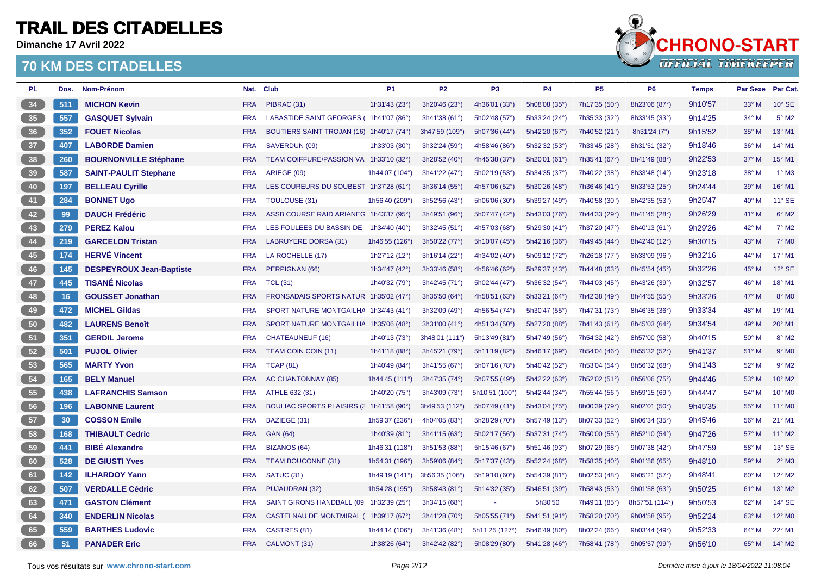**Dimanche 17 Avril 2022**



| PI. | Dos. | Nom-Prénom                      |            | Nat. Club                                | P <sub>1</sub>   | <b>P2</b>      | P <sub>3</sub> | <b>P4</b>     | <b>P5</b>     | P <sub>6</sub> | <b>Temps</b> | Par Sexe Par Cat. |                     |
|-----|------|---------------------------------|------------|------------------------------------------|------------------|----------------|----------------|---------------|---------------|----------------|--------------|-------------------|---------------------|
| 34  | 511  | <b>MICHON Kevin</b>             | <b>FRA</b> | PIBRAC (31)                              | 1h31'43 (23°)    | 3h20'46 (23°)  | 4h36'01 (33°)  | 5h08'08 (35°) | 7h17'35 (50°) | 8h23'06 (87°)  | 9h10'57      | 33° M             | $10^{\circ}$ SE     |
| 35  | 557  | <b>GASQUET Sylvain</b>          | <b>FRA</b> | LABASTIDE SAINT GEORGES (1h41'07 (86°)   |                  | 3h41'38 (61°)  | 5h02'48 (57°)  | 5h33'24 (24°) | 7h35'33 (32°) | 8h33'45 (33°)  | 9h14'25      | 34° M             | $5^\circ$ M2        |
| 36  | 352  | <b>FOUET Nicolas</b>            | <b>FRA</b> | BOUTIERS SAINT TROJAN (16) 1h40'17 (74°) |                  | 3h47'59 (109°) | 5h07'36 (44°)  | 5h42'20 (67°) | 7h40'52 (21°) | 8h31'24 (7°)   | 9h15'52      | 35° M             | 13° M1              |
| 37  | 407  | <b>LABORDE Damien</b>           | <b>FRA</b> | SAVERDUN (09)                            | 1h33'03 (30°)    | 3h32'24 (59°)  | 4h58'46 (86°)  | 5h32'32 (53°) | 7h33'45 (28°) | 8h31'51 (32°)  | 9h18'46      | 36° M             | 14° M1              |
| 38  | 260  | <b>BOURNONVILLE Stéphane</b>    | <b>FRA</b> | TEAM COIFFURE/PASSION VA 1h33'10 (32°)   |                  | 3h28'52 (40°)  | 4h45'38 (37°)  | 5h20'01 (61°) | 7h35'41 (67°) | 8h41'49 (88°)  | 9h22'53      | 37° M             | 15° M1              |
| 39  | 587  | <b>SAINT-PAULIT Stephane</b>    | <b>FRA</b> | ARIEGE (09)                              | 1h44'07 (104°)   | 3h41'22 (47°)  | 5h02'19 (53°)  | 5h34'35 (37°) | 7h40'22 (38°) | 8h33'48 (14°)  | 9h23'18      | 38° M             | $1^\circ$ M3        |
| 40  | 197  | <b>BELLEAU Cyrille</b>          | <b>FRA</b> | LES COUREURS DU SOUBEST 1h37'28 (61°)    |                  | 3h36'14 (55°)  | 4h57'06 (52°)  | 5h30'26 (48°) | 7h36'46 (41°) | 8h33'53 (25°)  | 9h24'44      | 39° M             | 16° M1              |
| 41  | 284  | <b>BONNET Ugo</b>               | <b>FRA</b> | <b>TOULOUSE (31)</b>                     | 1h56'40 (209°)   | 3h52'56 (43°)  | 5h06'06 (30°)  | 5h39'27 (49°) | 7h40'58 (30°) | 8h42'35 (53°)  | 9h25'47      | 40° M             | $11^{\circ}$ SE     |
| 42  | 99   | <b>DAUCH Frédéric</b>           | <b>FRA</b> | ASSB COURSE RAID ARIANEG 1h43'37 (95°)   |                  | 3h49'51 (96°)  | 5h07'47 (42°)  | 5h43'03 (76°) | 7h44'33 (29°) | 8h41'45 (28°)  | 9h26'29      | $41^\circ$ M      | $6^{\circ}$ M2      |
| 43  | 279  | <b>PEREZ Kalou</b>              | <b>FRA</b> | LES FOULEES DU BASSIN DE   1h34'40 (40°) |                  | 3h32'45 (51°)  | 4h57'03 (68°)  | 5h29'30 (41°) | 7h37'20 (47°) | 8h40'13 (61°)  | 9h29'26      | 42° M             | $7^\circ$ M2        |
| 44  | 219  | <b>GARCELON Tristan</b>         | <b>FRA</b> | LABRUYERE DORSA (31)                     | 1h46'55 (126°)   | 3h50'22 (77°)  | 5h10'07 (45°)  | 5h42'16 (36°) | 7h49'45 (44°) | 8h42'40 (12°)  | 9h30'15      | 43° M             | $7^\circ$ MO        |
| 45  | 174  | <b>HERVÉ Vincent</b>            | <b>FRA</b> | LA ROCHELLE (17)                         | 1h27'12 (12°)    | 3h16'14 (22°)  | 4h34'02 (40°)  | 5h09'12 (72°) | 7h26'18 (77°) | 8h33'09 (96°)  | 9h32'16      | 44° M             | 17° M1              |
| 46  | 145  | <b>DESPEYROUX Jean-Baptiste</b> | <b>FRA</b> | PERPIGNAN (66)                           | 1h34'47 (42°)    | 3h33'46 (58°)  | 4h56'46 (62°)  | 5h29'37 (43°) | 7h44'48 (63°) | 8h45'54 (45°)  | 9h32'26      | 45° M             | $12^{\circ}$ SE     |
| 47  | 445  | <b>TISANÉ Nicolas</b>           | <b>FRA</b> | <b>TCL (31)</b>                          | 1h40'32 (79°)    | 3h42'45 (71°)  | 5h02'44 (47°)  | 5h36'32 (54°) | 7h44'03 (45°) | 8h43'26 (39°)  | 9h32'57      | 46° M             | 18° M1              |
| 48  | 16   | <b>GOUSSET Jonathan</b>         | <b>FRA</b> | FRONSADAIS SPORTS NATUR 1h35'02 (47°)    |                  | 3h35'50 (64°)  | 4h58'51 (63°)  | 5h33'21 (64°) | 7h42'38 (49°) | 8h44'55 (55°)  | 9h33'26      | 47° M             | $8^\circ$ MO        |
| 49  | 472  | <b>MICHEL Gildas</b>            | <b>FRA</b> | SPORT NATURE MONTGAILHA 1h34'43 (41°)    |                  | 3h32'09 (49°)  | 4h56'54 (74°)  | 5h30'47 (55°) | 7h47'31 (73°) | 8h46'35 (36°)  | 9h33'34      | 48° M             | 19° M1              |
| 50  | 482  | <b>LAURENS Benoît</b>           | <b>FRA</b> | SPORT NATURE MONTGAILHA 1h35'06 (48°)    |                  | 3h31'00 (41°)  | 4h51'34 (50°)  | 5h27'20 (88°) | 7h41'43 (61°) | 8h45'03 (64°)  | 9h34'54      | $49^\circ$ M      | 20° M1              |
| 51  | 351  | <b>GERDIL Jerome</b>            | <b>FRA</b> | <b>CHATEAUNEUF (16)</b>                  | 1h40'13 (73°)    | 3h48'01 (111°) | 5h13'49 (81°)  | 5h47'49 (56°) | 7h54'32 (42°) | 8h57'00 (58°)  | 9h40'15      | 50° M             | 8° M2               |
| 52  | 501  | <b>PUJOL Olivier</b>            | <b>FRA</b> | <b>TEAM COIN COIN (11)</b>               | 1h41'18 (88°)    | 3h45'21 (79°)  | 5h11'19 (82°)  | 5h46'17 (69°) | 7h54'04 (46°) | 8h55'32 (52°)  | 9h41'37      | 51° M             | $9°$ M <sub>0</sub> |
| 53  | 565  | <b>MARTY Yvon</b>               | <b>FRA</b> | <b>TCAP (81)</b>                         | 1h40'49 (84°)    | 3h41'55 (67°)  | 5h07'16 (78°)  | 5h40'42 (52°) | 7h53'04 (54°) | 8h56'32 (68°)  | 9h41'43      | 52° M             | $9^{\circ}$ M2      |
| 54  | 165  | <b>BELY Manuel</b>              | <b>FRA</b> | AC CHANTONNAY (85)                       | 1h44'45 $(111°)$ | 3h47'35 (74°)  | 5h07'55 (49°)  | 5h42'22 (63°) | 7h52'02 (51°) | 8h56'06 (75°)  | 9h44'46      | 53° M             | 10° M2              |
| 55  | 438  | <b>LAFRANCHIS Samson</b>        | <b>FRA</b> | ATHLE 632 (31)                           | 1h40'20 (75°)    | 3h43'09 (73°)  | 5h10'51 (100°) | 5h42'44 (34°) | 7h55'44 (56°) | 8h59'15 (69°)  | 9h44'47      | 54° M             | 10° MO              |
| 56  | 196  | <b>LABONNE Laurent</b>          | <b>FRA</b> | BOULIAC SPORTS PLAISIRS (3 1h41'58 (90°) |                  | 3h49'53 (112°) | 5h07'49 (41°)  | 5h43'04 (75°) | 8h00'39 (79°) | 9h02'01 (50°)  | 9h45'35      | 55° M             | 11° M0              |
| 57  | 30   | <b>COSSON Emile</b>             | <b>FRA</b> | BAZIEGE (31)                             | 1h59'37 (236°)   | 4h04'05 (83°)  | 5h28'29 (70°)  | 5h57'49 (13°) | 8h07'33 (52°) | 9h06'34 (35°)  | 9h45'46      | 56° M             | $21^{\circ}$ M1     |
| 58  | 168  | <b>THIBAULT Cedric</b>          | <b>FRA</b> | <b>GAN (64)</b>                          | 1h40'39 (81°)    | 3h41'15 (63°)  | 5h02'17 (56°)  | 5h37'31 (74°) | 7h50'00 (55°) | 8h52'10 (54°)  | 9h47'26      | 57° M             | $11^{\circ}$ M2     |
| 59  | 441  | <b>BIBÉ Alexandre</b>           | <b>FRA</b> | BIZANOS (64)                             | 1h46'31 (118°)   | 3h51'53 (88°)  | 5h15'46 (67°)  | 5h51'46 (93°) | 8h07'29 (68°) | 9h07'38 (42°)  | 9h47'59      | 58° M             | 13° SE              |
| 60  | 528  | <b>DE GIUSTI Yves</b>           | <b>FRA</b> | TEAM BOUCONNE (31)                       | 1h54'31 (196°)   | 3h59'06 (84°)  | 5h17'37 (43°)  | 5h52'24 (68°) | 7h58'35 (40°) | 9h01'56 (65°)  | 9h48'10      | 59° M             | $2^{\circ}$ M3      |
| 61  | 142  | <b>ILHARDOY Yann</b>            | <b>FRA</b> | SATUC <sub>(31)</sub>                    | 1h49'19 (141°)   | 3h56'35 (106°) | 5h19'10 (60°)  | 5h54'39 (81°) | 8h02'53 (48°) | 9h05'21 (57°)  | 9h48'41      | 60° M             | 12° M2              |
| 62  | 507  | <b>VERDALLE Cédric</b>          | <b>FRA</b> | PUJAUDRAN (32)                           | 1h54'28 (195°)   | 3h58'43 (81°)  | 5h14'32 (35°)  | 5h46'51 (39°) | 7h58'43 (53°) | 9h01'58 (63°)  | 9h50'25      | 61° M             | 13° M2              |
| 63  | 471  | <b>GASTON Clément</b>           | <b>FRA</b> | SAINT GIRONS HANDBALL (09) 1h32'39 (25°) |                  | 3h34'15 (68°)  |                | 5h30'50       | 7h49'11 (85°) | 8h57'51 (114°) | 9h50'53      | 62° M             | $14^{\circ}$ SE     |
| 64  | 340  | <b>ENDERLIN Nicolas</b>         | <b>FRA</b> | CASTELNAU DE MONTMIRAL (1h39'17 (67°)    |                  | 3h41'28 (70°)  | 5h05'55(71°)   | 5h41'51 (91°) | 7h58'20 (70°) | 9h04'58 (95°)  | 9h52'24      | 63° M             | 12° M0              |
| 65  | 559  | <b>BARTHES Ludovic</b>          | <b>FRA</b> | CASTRES (81)                             | 1h44'14 (106°)   | 3h41'36 (48°)  | 5h11'25 (127°) | 5h46'49 (80°  | 8h02'24 (66°) | 9h03'44 (49°)  | 9h52'33      | 64° M             | 22° M1              |
| 66  | 51   | <b>PANADER Eric</b>             | <b>FRA</b> | CALMONT (31)                             | 1h38'26 (64°)    | 3h42'42 (82°)  | 5h08'29 (80°)  | 5h41'28 (46°) | 7h58'41 (78°) | 9h05'57 (99°)  | 9h56'10      | 65° M             | 14° M2              |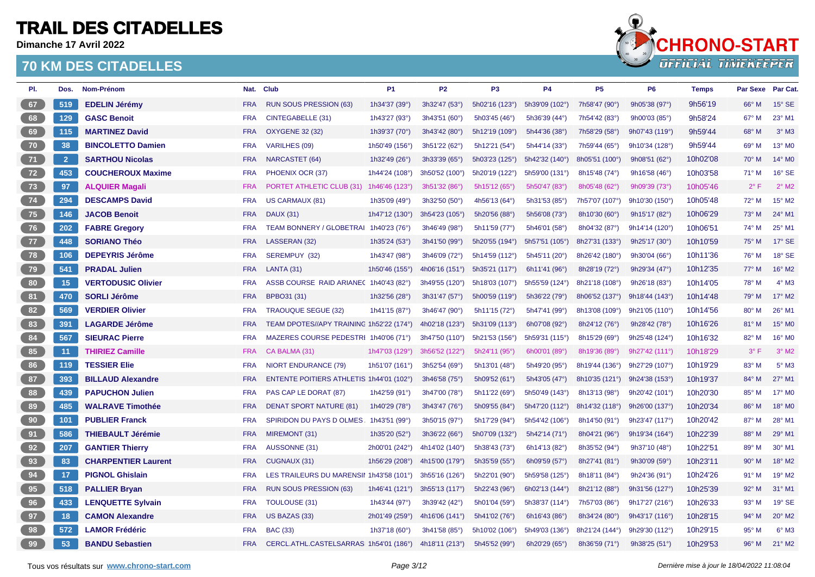**Dimanche 17 Avril 2022**



| PI.  | Dos.           | Nom-Prénom                 |            | Nat. Club                                | P <sub>1</sub> | <b>P2</b>      | P <sub>3</sub> | <b>P4</b>      | P <sub>5</sub> | P <sub>6</sub> | <b>Temps</b> | <b>Par Sexe</b> | Par Cat.            |
|------|----------------|----------------------------|------------|------------------------------------------|----------------|----------------|----------------|----------------|----------------|----------------|--------------|-----------------|---------------------|
| 67   | 519            | <b>EDELIN Jérémy</b>       | <b>FRA</b> | RUN SOUS PRESSION (63)                   | 1h34'37 (39°)  | 3h32'47 (53°)  | 5h02'16 (123°) | 5h39'09 (102°) | 7h58'47 (90°)  | 9h05'38 (97°)  | 9h56'19      | 66° M           | 15° SE              |
| 68   | 129            | <b>GASC Benoit</b>         | <b>FRA</b> | CINTEGABELLE (31)                        | 1h43'27 (93°)  | 3h43'51 (60°)  | 5h03'45 (46°)  | 5h36'39 (44°)  | 7h54'42 (83°)  | 9h00'03 (85°)  | 9h58'24      | 67° M           | 23° M1              |
| 69   | 115            | <b>MARTINEZ David</b>      | <b>FRA</b> | <b>OXYGENE 32 (32)</b>                   | 1h39'37 (70°)  | 3h43'42 (80°)  | 5h12'19 (109°) | 5h44'36 (38°)  | 7h58'29 (58°)  | 9h07'43 (119°) | 9h59'44      | 68° M           | $3^\circ$ M3        |
| 70   | 38             | <b>BINCOLETTO Damien</b>   | <b>FRA</b> | <b>VARILHES (09)</b>                     | 1h50'49 (156°) | 3h51'22 (62°)  | 5h12'21 (54°)  | 5h44'14 (33°)  | 7h59'44 (65°)  | 9h10'34 (128°) | 9h59'44      | 69° M           | 13° M0              |
| 71   | $\overline{2}$ | <b>SARTHOU Nicolas</b>     | <b>FRA</b> | <b>NARCASTET (64)</b>                    | 1h32'49 (26°)  | 3h33'39 (65°)  | 5h03'23 (125°) | 5h42'32 (140°) | 8h05'51 (100°) | 9h08'51 (62°)  | 10h02'08     | 70° M           | 14° MO              |
| $72$ | 453            | <b>COUCHEROUX Maxime</b>   | <b>FRA</b> | PHOENIX OCR (37)                         | 1h44'24 (108°) | 3h50'52 (100°) | 5h20'19 (122°) | 5h59'00 (131°) | 8h15'48 (74°)  | 9h16'58 (46°)  | 10h03'58     | 71° M           | 16° SE              |
| 73   | 97             | <b>ALQUIER Magali</b>      | <b>FRA</b> | PORTET ATHLETIC CLUB (31) 1h46'46 (123°) |                | 3h51'32 (86°)  | 5h15'12 (65°)  | 5h50'47 (83°)  | 8h05'48 (62°)  | 9h09'39 (73°)  | 10h05'46     | $2^{\circ}$ F   | $2^{\circ}$ M2      |
| $74$ | 294            | <b>DESCAMPS David</b>      | <b>FRA</b> | US CARMAUX (81)                          | 1h35'09 (49°)  | 3h32'50 (50°)  | 4h56'13 (64°)  | 5h31'53 (85°)  | 7h57'07 (107°) | 9h10'30 (150°) | 10h05'48     | 72° M           | 15° M2              |
| 75   | 146            | <b>JACOB Benoit</b>        | <b>FRA</b> | <b>DAUX (31)</b>                         | 1h47'12 (130°) | 3h54'23 (105°) | 5h20'56 (88°)  | 5h56'08 (73°)  | 8h10'30 (60°)  | 9h15'17 (82°)  | 10h06'29     | $73^\circ$ M    | 24° M1              |
| 76   | 202            | <b>FABRE Gregory</b>       | <b>FRA</b> | TEAM BONNERY / GLOBETRAI 1h40'23 (76°)   |                | 3h46'49 (98°)  | 5h11'59 (77°)  | 5h46'01 (58°)  | 8h04'32 (87°)  | 9h14'14 (120°) | 10h06'51     | 74° M           | 25° M1              |
| 77   | 448            | <b>SORIANO Théo</b>        | <b>FRA</b> | LASSERAN (32)                            | 1h35'24 (53°)  | 3h41'50 (99°)  | 5h20'55 (194°) | 5h57'51 (105°) | 8h27'31 (133°) | 9h25'17 (30°)  | 10h10'59     | 75° M           | $17^\circ$ SE       |
| $78$ | 106            | <b>DEPEYRIS Jérôme</b>     | <b>FRA</b> | SEREMPUY (32)                            | 1h43'47 (98°)  | 3h46'09 (72°)  | 5h14'59 (112°) | 5h45'11 (20°)  | 8h26'42 (180°) | 9h30'04 (66°)  | 10h11'36     | 76° M           | 18° SE              |
| 79   | 541            | <b>PRADAL Julien</b>       | <b>FRA</b> | <b>LANTA (31)</b>                        | 1h50'46 (155°) | 4h06'16 (151°) | 5h35'21 (117°) | 6h11'41 (96°)  | 8h28'19 (72°)  | 9h29'34 (47°)  | 10h12'35     | $77^\circ$ M    | 16° M2              |
| 80   | 15             | <b>VERTODUSIC Olivier</b>  | <b>FRA</b> | ASSB COURSE RAID ARIANE(1h40'43 (82°)    |                | 3h49'55 (120°) | 5h18'03 (107°) | 5h55'59 (124°) | 8h21'18 (108°) | 9h26'18 (83°)  | 10h14'05     | 78° M           | $4^\circ$ M3        |
| 81   | 470            | <b>SORLI Jérôme</b>        | <b>FRA</b> | BPBO31 (31)                              | 1h32'56 (28°)  | 3h31'47 (57°)  | 5h00'59 (119°) | 5h36'22 (79°)  | 8h06'52 (137°) | 9h18'44 (143°) | 10h14'48     | 79° M           | 17° M2              |
| 82   | 569            | <b>VERDIER Olivier</b>     | <b>FRA</b> | <b>TRAOUQUE SEGUE (32)</b>               | 1h41'15 (87°)  | 3h46'47 (90°)  | 5h11'15 (72°)  | 5h47'41 (99°)  | 8h13'08 (109°) | 9h21'05 (110°) | 10h14'56     | 80° M           | 26° M1              |
| 83   | 391            | <b>LAGARDE Jérôme</b>      | <b>FRA</b> | TEAM DPOTES//APY TRAINING 1h52'22 (174°) |                | 4h02'18 (123°) | 5h31'09 (113°) | 6h07'08 (92°)  | 8h24'12 (76°)  | 9h28'42 (78°)  | 10h16'26     | 81° M           | 15° M0              |
| 84   | 567            | <b>SIEURAC Pierre</b>      | <b>FRA</b> | MAZERES COURSE PEDESTRI 1h40'06 (71°)    |                | 3h47'50 (110°) | 5h21'53 (156°) | 5h59'31 (115°) | 8h15'29 (69°)  | 9h25'48 (124°) | 10h16'32     | 82° M           | 16° M0              |
| 85   | 11             | <b>THIRIEZ Camille</b>     | <b>FRA</b> | CA BALMA (31)                            | 1h47'03 (129°) | 3h56'52 (122°) | 5h24'11 (95°)  | 6h00'01 (89°)  | 8h19'36 (89°)  | 9h27'42 (111°) | 10h18'29     | $3^{\circ}$ F   | $3°$ M <sub>2</sub> |
| 86   | 119            | <b>TESSIER Elie</b>        | <b>FRA</b> | <b>NIORT ENDURANCE (79)</b>              | 1h51'07 (161°) | 3h52'54 (69°)  | 5h13'01 (48°)  | 5h49'20 (95°)  | 8h19'44 (136°) | 9h27'29 (107°) | 10h19'29     | 83° M           | $5^\circ$ M3        |
| 87   | 393            | <b>BILLAUD Alexandre</b>   | <b>FRA</b> | ENTENTE POITIERS ATHLETIS 1h44'01 (102°) |                | 3h46'58 (75°)  | 5h09'52 (61°)  | 5h43'05 (47°)  | 8h10'35 (121°) | 9h24'38 (153°) | 10h19'37     | 84° M           | 27° M1              |
| 88   | 439            | <b>PAPUCHON Julien</b>     | <b>FRA</b> | PAS CAP LE DORAT (87)                    | 1h42'59 (91°)  | 3h47'00 (78°)  | 5h11'22 (69°)  | 5h50'49 (143°) | 8h13'13 (98°)  | 9h20'42 (101°) | 10h20'30     | 85° M           | 17° MO              |
| 89   | 485            | <b>WALRAVE Timothée</b>    | <b>FRA</b> | <b>DENAT SPORT NATURE (81)</b>           | 1h40'29 (78°)  | 3h43'47 (76°)  | 5h09'55 (84°)  | 5h47'20 (112°) | 8h14'32 (118°) | 9h26'00 (137°) | 10h20'34     | 86° M           | 18° MO              |
| 90   | 101            | <b>PUBLIER Franck</b>      | <b>FRA</b> | SPIRIDON DU PAYS D OLMES 1h43'51 (99°)   |                | 3h50'15 (97°)  | 5h17'29 (94°)  | 5h54'42 (106°) | 8h14'50 (91°)  | 9h23'47 (117°) | 10h20'42     | 87° M           | 28° M1              |
| 91   | 586            | <b>THIEBAULT Jérémie</b>   | <b>FRA</b> | MIREMONT (31)                            | 1h35'20 (52°)  | 3h36'22 (66°)  | 5h07'09 (132°) | 5h42'14 (71°)  | 8h04'21 (96°)  | 9h19'34 (164°) | 10h22'39     | 88° M           | 29° M1              |
| 92   | 207            | <b>GANTIER Thierry</b>     | <b>FRA</b> | <b>AUSSONNE (31)</b>                     | 2h00'01 (242°) | 4h14'02 (140°) | 5h38'43 (73°)  | 6h14'13 (82°)  | 8h35'52 (94°)  | 9h37'10 (48°)  | 10h22'51     | 89° M           | 30° M1              |
| 93   | 83             | <b>CHARPENTIER Laurent</b> | <b>FRA</b> | CUGNAUX (31)                             | 1h56'29 (208°) | 4h15'00 (179°) | 5h35'59 (55°)  | 6h09'59 (57°)  | 8h27'41 (81°)  | 9h30'09 (59°)  | 10h23'11     | $90^\circ$ M    | 18° M2              |
| 94   | 17             | <b>PIGNOL Ghislain</b>     | <b>FRA</b> | LES TRAILEURS DU MARENSII 1h43'58 (101°) |                | 3h55'16 (126°) | 5h22'01 (90°)  | 5h59'58 (125°) | 8h18'11 (84°)  | 9h24'36 (91°)  | 10h24'26     | $91^\circ$ M    | 19° M2              |
| 95   | 518            | <b>PALLIER Bryan</b>       | <b>FRA</b> | <b>RUN SOUS PRESSION (63)</b>            | 1h46'41 (121°) | 3h55'13 (117°) | 5h22'43 (96°)  | 6h02'13 (144°) | 8h21'12 (88°)  | 9h31'56 (127°) | 10h25'39     | 92° M           | 31° M1              |
| 96   | 433            | <b>LENQUETTE Sylvain</b>   | <b>FRA</b> | <b>TOULOUSE (31)</b>                     | 1h43'44 (97°)  | 3h39'42 (42°)  | 5h01'04 (59°)  | 5h38'37 (114°) | 7h57'03 (86°)  | 9h17'27 (216°) | 10h26'33     | 93° M           | 19° SE              |
| 97   | 18             | <b>CAMON Alexandre</b>     | <b>FRA</b> | US BAZAS (33)                            | 2h01'49 (259°) | 4h16'06 (141°) | 5h41'02 (76°)  | 6h16'43 (86°)  | 8h34'24 (80°)  | 9h43'17 (116°) | 10h28'15     | 94° M           | 20° M2              |
| 98   | 572            | <b>LAMOR Frédéric</b>      | <b>FRA</b> | <b>BAC (33)</b>                          | 1h37'18 (60°)  | 3h41'58 (85°)  | 5h10'02 (106°) | 5h49'03 (136°) | 8h21'24 (144°) | 9h29'30 (112°) | 10h29'15     | 95° M           | $6^\circ$ M3        |
| 99   | 53             | <b>BANDU Sebastien</b>     | <b>FRA</b> | CERCL.ATHL.CASTELSARRAS 1h54'01 (186°)   |                | 4h18'11 (213°) | 5h45'52 (99°)  | 6h20'29 (65°)  | 8h36'59 (71°)  | 9h38'25 (51°)  | 10h29'53     | 96° M           | 21° M2              |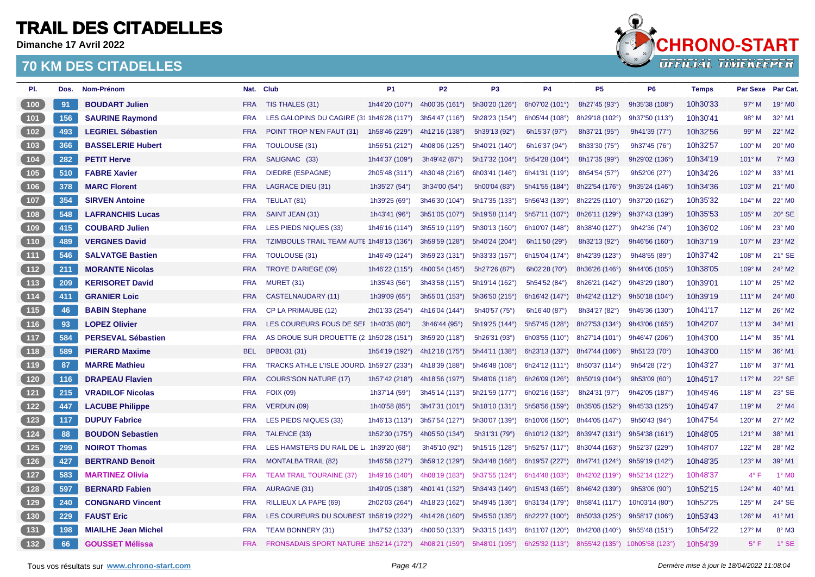**Dimanche 17 Avril 2022**



| PI.                                       | Dos. | Nom-Prénom                 |            | Nat. Club                                             | P <sub>1</sub> | P <sub>2</sub> | P <sub>3</sub> | <b>P4</b>       | P <sub>5</sub> | P <sub>6</sub>  | <b>Temps</b> | Par Sexe Par Cat. |                    |
|-------------------------------------------|------|----------------------------|------------|-------------------------------------------------------|----------------|----------------|----------------|-----------------|----------------|-----------------|--------------|-------------------|--------------------|
| (100)                                     | 91   | <b>BOUDART Julien</b>      | <b>FRA</b> | TIS THALES (31)                                       | 1h44'20 (107°) | 4h00'35 (161°) | 5h30'20 (126°) | 6h07'02 (101°)  | 8h27'45 (93°)  | 9h35'38 (108°)  | 10h30'33     | 97° M             | 19° M <sub>0</sub> |
| (101)                                     | 156  | <b>SAURINE Raymond</b>     | <b>FRA</b> | LES GALOPINS DU CAGIRE (31 1h46'28 (117°)             |                | 3h54'47 (116°) | 5h28'23 (154°) | 6h05'44 (108°)  | 8h29'18 (102°) | 9h37'50 (113°)  | 10h30'41     | 98° M             | 32° M1             |
| (102)                                     | 493  | <b>LEGRIEL Sébastien</b>   | <b>FRA</b> | POINT TROP N'EN FAUT (31)                             | 1h58'46 (229°) | 4h12'16 (138°) | 5h39'13 (92°)  | 6h15'37 (97°)   | 8h37'21 (95°)  | 9h41'39 (77°)   | 10h32'56     | 99° M             | 22° M2             |
| 103                                       | 366  | <b>BASSELERIE Hubert</b>   | <b>FRA</b> | <b>TOULOUSE (31)</b>                                  | 1h56'51 (212°) | 4h08'06 (125°) | 5h40'21 (140°) | 6h16'37 (94°)   | 8h33'30 (75°)  | 9h37'45 (76°)   | 10h32'57     | $100^\circ$ M     | 20° MO             |
| (104)                                     | 282  | <b>PETIT Herve</b>         | <b>FRA</b> | SALIGNAC (33)                                         | 1h44'37 (109°) | 3h49'42 (87°)  | 5h17'32 (104°) | 5h54'28 (104°)  | 8h17'35 (99°)  | 9h29'02 (136°)  | 10h34'19     | $101^\circ$ M     | $7^\circ$ M3       |
| $\begin{array}{c} \hline 105 \end{array}$ | 510  | <b>FABRE Xavier</b>        | <b>FRA</b> | <b>DIEDRE (ESPAGNE)</b>                               | 2h05'48 (311°) | 4h30'48 (216°) | 6h03'41 (146°) | 6h41'31 (119°)  | 8h54'54 (57°)  | 9h52'06 (27°)   | 10h34'26     | 102° M            | 33° M1             |
| (106)                                     | 378  | <b>MARC Florent</b>        | <b>FRA</b> | <b>LAGRACE DIEU (31)</b>                              | 1h35'27 (54°)  | 3h34'00 (54°)  | 5h00'04 (83°)  | 5h41'55 (184°)  | 8h22'54 (176°) | 9h35'24 (146°)  | 10h34'36     | $103^\circ$ M     | $21^{\circ}$ MO    |
| 107                                       | 354  | <b>SIRVEN Antoine</b>      | <b>FRA</b> | TEULAT (81)                                           | 1h39'25 (69°)  | 3h46'30 (104°) | 5h17'35 (133°) | 5h56'43 (139°)  | 8h22'25 (110°) | 9h37'20 (162°)  | 10h35'32     | 104° M            | 22° MO             |
| (108)                                     | 548  | <b>LAFRANCHIS Lucas</b>    | <b>FRA</b> | SAINT JEAN (31)                                       | 1h43'41 (96°)  | 3h51'05 (107°) | 5h19'58 (114°) | 5h57'11 (107°)  | 8h26'11 (129°) | 9h37'43 (139°)  | 10h35'53     | $105^\circ$ M     | $20^\circ$ SE      |
| (109)                                     | 415  | <b>COUBARD Julien</b>      | <b>FRA</b> | LES PIEDS NIQUES (33)                                 | 1h46'16 (114°) | 3h55'19 (119°) | 5h30'13 (160°) | 6h10'07 (148°)  | 8h38'40 (127°) | 9h42'36 (74°)   | 10h36'02     | 106° M            | 23° MO             |
| $(110)$                                   | 489  | <b>VERGNES David</b>       | <b>FRA</b> | TZIMBOULS TRAIL TEAM AUTE 1h48'13 (136°)              |                | 3h59'59 (128°) | 5h40'24 (204°) | 6h11'50 $(29°)$ | 8h32'13 (92°)  | 9h46'56 (160°)  | 10h37'19     | 107° M            | 23° M2             |
| (111)                                     | 546  | <b>SALVATGE Bastien</b>    | <b>FRA</b> | <b>TOULOUSE (31)</b>                                  | 1h46'49 (124°) | 3h59'23 (131°) | 5h33'33 (157°) | 6h15'04 (174°)  | 8h42'39 (123°) | 9h48'55 (89°)   | 10h37'42     | 108° M            | 21° SE             |
| (112)                                     | 211  | <b>MORANTE Nicolas</b>     | <b>FRA</b> | <b>TROYE D'ARIEGE (09)</b>                            | 1h46'22 (115°) | 4h00'54 (145°) | 5h27'26 (87°)  | 6h02'28 (70°)   | 8h36'26 (146°) | 9h44'05 (105°)  | 10h38'05     | $109^\circ$ M     | 24° M2             |
| (113)                                     | 209  | <b>KERISORET David</b>     | <b>FRA</b> | <b>MURET (31)</b>                                     | 1h35'43 (56°)  | 3h43'58 (115°) | 5h19'14 (162°) | 5h54'52 (84°)   | 8h26'21 (142°) | 9h43'29 (180°)  | 10h39'01     | $110^\circ$ M     | 25° M2             |
| (114)                                     | 411  | <b>GRANIER Loic</b>        | <b>FRA</b> | <b>CASTELNAUDARY (11)</b>                             | 1h39'09 (65°)  | 3h55'01 (153°) | 5h36'50 (215°) | 6h16'42 (147°)  | 8h42'42 (112°) | 9h50'18 (104°)  | 10h39'19     | $111^\circ$ M     | 24° MO             |
| (115)                                     | 46   | <b>BABIN Stephane</b>      | <b>FRA</b> | CP LA PRIMAUBE (12)                                   | 2h01'33 (254°) | 4h16'04 (144°) | 5h40'57 (75°)  | 6h16'40 (87°)   | 8h34'27 (82°)  | 9h45'36 (130°)  | 10h41'17     | $112^\circ$ M     | $26^{\circ}$ M2    |
| (116)                                     | 93   | <b>LOPEZ Olivier</b>       | <b>FRA</b> | LES COUREURS FOUS DE SEF 1h40'35 (80°)                |                | 3h46'44 (95°)  | 5h19'25 (144°) | 5h57'45 (128°)  | 8h27'53 (134°) | 9h43'06 (165°)  | 10h42'07     | $113^\circ$ M     | 34° M1             |
| (117)                                     | 584  | <b>PERSEVAL Sébastien</b>  | <b>FRA</b> | AS DROUE SUR DROUETTE (2 1h50'28 (151°)               |                | 3h59'20 (118°) | 5h26'31 (93°)  | 6h03'55 (110°)  | 8h27'14 (101°) | 9h46'47 (206°)  | 10h43'00     | $114^\circ$ M     | 35° M1             |
| (118)                                     | 589  | <b>PIERARD Maxime</b>      | <b>BEL</b> | <b>BPBO31 (31)</b>                                    | 1h54'19 (192°) | 4h12'18 (175°) | 5h44'11 (138°) | 6h23'13 (137°)  | 8h47'44 (106°) | 9h51'23 (70°)   | 10h43'00     | $115^\circ$ M     | 36° M1             |
| (119)                                     | 87   | <b>MARRE Mathieu</b>       | <b>FRA</b> | TRACKS ATHLE L'ISLE JOURD. 1h59'27 (233°)             |                | 4h18'39 (188°) | 5h46'48 (108°) | 6h24'12 (111°)  | 8h50'37 (114°) | 9h54'28 (72°)   | 10h43'27     | $116^\circ$ M     | 37° M1             |
| (120)                                     | 116  | <b>DRAPEAU Flavien</b>     | <b>FRA</b> | <b>COURS'SON NATURE (17)</b>                          | 1h57'42 (218°) | 4h18'56 (197°) | 5h48'06 (118°) | 6h26'09 (126°)  | 8h50'19 (104°) | 9h53'09 (60°)   | 10h45'17     | $117^\circ$ M     | 22° SE             |
| (121)                                     | 215  | <b>VRADILOF Nicolas</b>    | <b>FRA</b> | <b>FOIX (09)</b>                                      | 1h37'14 (59°)  | 3h45'14 (113°) | 5h21'59 (177°) | 6h02'16 (153°)  | 8h24'31 (97°)  | 9h42'05 (187°)  | 10h45'46     | $118^\circ$ M     | 23° SE             |
| (122)                                     | 447  | <b>LACUBE Philippe</b>     | <b>FRA</b> | VERDUN (09)                                           | 1h40'58 (85°)  | 3h47'31 (101°) | 5h18'10 (131°) | 5h58'56 (159°)  | 8h35'05 (152°) | 9h45'33 (125°)  | 10h45'47     | $119^\circ$ M     | $2^{\circ}$ M4     |
| 123                                       | 117  | <b>DUPUY Fabrice</b>       | <b>FRA</b> | LES PIEDS NIQUES (33)                                 | 1h46'13 (113°) | 3h57'54 (127°) | 5h30'07 (139°) | 6h10'06 (150°)  | 8h44'05 (147°) | 9h50'43 (94°)   | 10h47'54     | $120^\circ$ M     | 27° M2             |
| (124)                                     | 88   | <b>BOUDON Sebastien</b>    | <b>FRA</b> | TALENCE (33)                                          | 1h52'30 (175°) | 4h05'50 (134°) | 5h31'31 (79°)  | 6h10'12 (132°)  | 8h39'47 (131°) | 9h54'38 (161°)  | 10h48'05     | $121^\circ$ M     | 38° M1             |
| $125$                                     | 299  | <b>NOIROT Thomas</b>       | <b>FRA</b> | LES HAMSTERS DU RAIL DE L. 1h39'20 (68°)              |                | 3h45'10 (92°)  | 5h15'15 (128°) | 5h52'57 (117°)  | 8h30'44 (163°) | 9h52'37 (229°)  | 10h48'07     | $122^\circ$ M     | 28° M2             |
| (126)                                     | 427  | <b>BERTRAND Benoit</b>     | <b>FRA</b> | <b>MONTALBA'TRAIL (82)</b>                            | 1h46'58 (127°) | 3h59'12 (129°) | 5h34'48 (168°) | 6h19'57 (227°)  | 8h47'41 (124°) | 9h59'19 (142°)  | 10h48'35     | $123^\circ$ M     | 39° M1             |
| (127)                                     | 583  | <b>MARTINEZ Olivia</b>     | <b>FRA</b> | <b>TEAM TRAIL TOURAINE (37)</b>                       | 1h49'16 (140°) | 4h08'19 (183°) | 5h37'55 (124°) | 6h14'48 (103°)  | 8h42'02 (119°) | 9h52'14 (122°)  | 10h48'37     | $4^{\circ}$ F     | $1^\circ$ MO       |
| (128)                                     | 597  | <b>BERNARD Fabien</b>      | <b>FRA</b> | <b>AURAGNE (31)</b>                                   | 1h49'05 (138°) | 4h01'41 (132°) | 5h34'43 (149°) | 6h15'43 (165°)  | 8h46'42 (139°) | 9h53'06 (90°)   | 10h52'15     | 124° M            | 40° M1             |
| $129$                                     | 240  | <b>CONGNARD Vincent</b>    | <b>FRA</b> | RILLIEUX LA PAPE (69)                                 | 2h02'03 (264°) | 4h18'23 (162°) | 5h49'45 (136°) | 6h31'34 (179°)  | 8h58'41 (117°) | 10h03'14 (80°)  | 10h52'25     | $125^\circ$ M     | $24^\circ$ SE      |
| (130)                                     | 229  | <b>FAUST Eric</b>          | <b>FRA</b> | LES COUREURS DU SOUBEST 1h58'19 (222°)                |                | 4h14'28 (160°) | 5h45'50 (135°) | 6h22'27 (100°)  | 8h50'33 (125°) | 9h58'17 (106°)  | 10h53'43     | 126° M            | $41^{\circ}$ M1    |
| (131)                                     | 198  | <b>MIAILHE Jean Michel</b> | <b>FRA</b> | <b>TEAM BONNERY (31)</b>                              | 1h47'52 (133°) | 4h00'50 (133°) | 5h33'15 (143°) | 6h11'07 (120°)  | 8h42'08 (140°) | 9h55'48 (151°)  | 10h54'22     | $127^\circ$ M     | $8^\circ$ M3       |
| (132)                                     | 66   | <b>GOUSSET Mélissa</b>     | <b>FRA</b> | FRONSADAIS SPORT NATURE 1h52'14 (172°) 4h08'21 (159°) |                |                | 5h48'01 (195°) | 6h25'32 (113°)  | 8h55'42 (135°) | 10h05'58 (123°) | 10h54'39     | $5^{\circ}$ F     | $1^\circ$ SE       |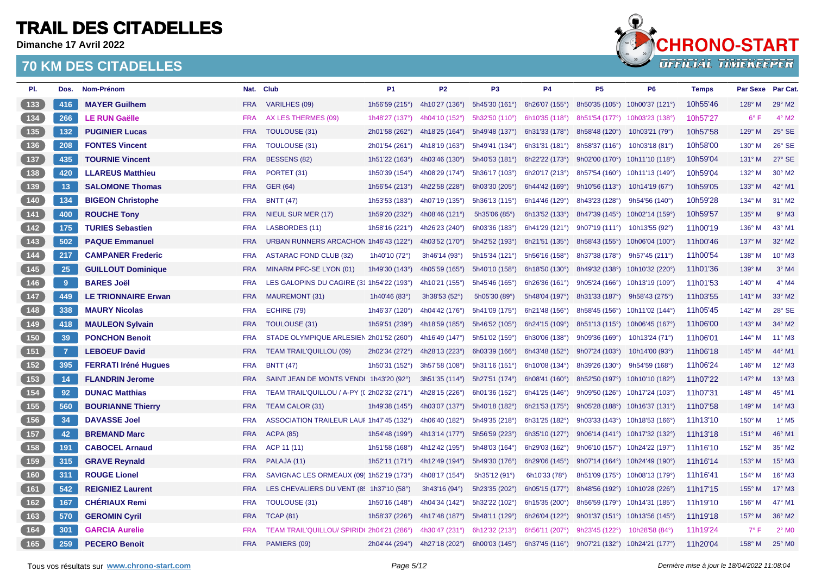**Dimanche 17 Avril 2022**



| PI.                                   | Dos.           | Nom-Prénom                  |            | Nat. Club                                  | <b>P1</b>      | <b>P2</b>      | P <sub>3</sub> | <b>P4</b>      | <b>P5</b>      | <b>P6</b>                      | <b>Temps</b> | <b>Par Sexe</b> | Par Cat.                   |
|---------------------------------------|----------------|-----------------------------|------------|--------------------------------------------|----------------|----------------|----------------|----------------|----------------|--------------------------------|--------------|-----------------|----------------------------|
| $133$                                 | 416            | <b>MAYER Guilhem</b>        | <b>FRA</b> | <b>VARILHES (09)</b>                       | 1h56'59 (215°) | 4h10'27 (136°) | 5h45'30 (161°) | 6h26'07 (155°) |                | 8h50'35 (105°) 10h00'37 (121°) | 10h55'46     | $128^\circ$ M   | 29° M2                     |
| $\boxed{134}$                         | 266            | <b>LE RUN Gaëlle</b>        | <b>FRA</b> | AX LES THERMES (09)                        | 1h48'27 (137°) | 4h04'10 (152°) | 5h32'50 (110°) | 6h10'35 (118°) | 8h51'54 (177°) | 10h03'23 (138°)                | 10h57'27     | $6^{\circ}$ F   | $4^\circ$ M2               |
| 135                                   | 132            | <b>PUGINIER Lucas</b>       | <b>FRA</b> | <b>TOULOUSE (31)</b>                       | 2h01'58 (262°) | 4h18'25 (164°) | 5h49'48 (137°) | 6h31'33 (178°) | 8h58'48 (120°) | 10h03'21 (79°)                 | 10h57'58     | 129° M          | 25° SE                     |
| $136$                                 | 208            | <b>FONTES Vincent</b>       | <b>FRA</b> | <b>TOULOUSE (31)</b>                       | 2h01'54 (261°) | 4h18'19 (163°) | 5h49'41 (134°) | 6h31'31 (181°) | 8h58'37 (116°) | 10h03'18 (81°)                 | 10h58'00     | $130^\circ$ M   | 26° SE                     |
| 137                                   | 435            | <b>TOURNIE Vincent</b>      | <b>FRA</b> | <b>BESSENS (82)</b>                        | 1h51'22 (163°) | 4h03'46 (130°) | 5h40'53 (181°) | 6h22'22 (173°) | 9h02'00 (170°) | 10h11'10 (118°)                | 10h59'04     | $131^\circ$ M   | $27^\circ$ SE              |
| $138$                                 | 420            | <b>LLAREUS Matthieu</b>     | <b>FRA</b> | PORTET (31)                                | 1h50'39 (154°) | 4h08'29 (174°) | 5h36'17 (103°) | 6h20'17 (213°) | 8h57'54 (160°) | 10h11'13 (149°)                | 10h59'04     | $132^\circ$ M   | 30° M2                     |
| (139)                                 | 13             | <b>SALOMONE Thomas</b>      | <b>FRA</b> | <b>GER (64)</b>                            | 1h56'54 (213°) | 4h22'58 (228°) | 6h03'30 (205°) | 6h44'42 (169°) | 9h10'56 (113°) | 10h14'19 (67°)                 | 10h59'05     | 133° M          | 42° M1                     |
| 140                                   | 134            | <b>BIGEON Christophe</b>    | <b>FRA</b> | <b>BNTT (47)</b>                           | 1h53'53 (183°) | 4h07'19 (135°) | 5h36'13 (115°) | 6h14'46 (129°) | 8h43'23 (128°) | 9h54'56 (140°)                 | 10h59'28     | 134° M          | 31° M2                     |
| (141)                                 | 400            | <b>ROUCHE Tony</b>          | <b>FRA</b> | <b>NIEUL SUR MER (17)</b>                  | 1h59'20 (232°) | 4h08'46 (121°) | 5h35'06(85°)   | 6h13'52 (133°) | 8h47'39 (145°) | 10h02'14 (159°)                | 10h59'57     | $135^\circ$ M   | $9°$ M3                    |
| $142$                                 | 175            | <b>TURIES Sebastien</b>     | <b>FRA</b> | LASBORDES (11)                             | 1h58'16 (221°) | 4h26'23 (240°) | 6h03'36 (183°) | 6h41'29 (121°) | 9h07'19 (111°) | 10h13'55 (92°)                 | 11h00'19     | 136° M          | 43° M1                     |
| (143)                                 | 502            | <b>PAQUE Emmanuel</b>       | <b>FRA</b> | URBAN RUNNERS ARCACHON 1h46'43 (122°)      |                | 4h03'52 (170°) | 5h42'52 (193°) | 6h21'51 (135°) | 8h58'43 (155°) | 10h06'04 (100°)                | 11h00'46     | $137^\circ$ M   | 32° M2                     |
| $\begin{array}{c} \n144\n\end{array}$ | 217            | <b>CAMPANER Frederic</b>    | <b>FRA</b> | <b>ASTARAC FOND CLUB (32)</b>              | 1h40'10 (72°)  | 3h46'14 (93°)  | 5h15'34 (121°) | 5h56'16 (158°) | 8h37'38 (178°) | 9h57'45 (211°)                 | 11h00'54     | $138^\circ$ M   | 10° M3                     |
| (145)                                 | 25             | <b>GUILLOUT Dominique</b>   | <b>FRA</b> | MINARM PFC-SE LYON (01)                    | 1h49'30 (143°) | 4h05'59 (165°) | 5h40'10 (158°) | 6h18'50 (130°) | 8h49'32 (138°) | 10h10'32 (220°)                | 11h01'36     | 139° M          | $3°$ M4                    |
| $(146)$                               | 9              | <b>BARES Joël</b>           | <b>FRA</b> | LES GALOPINS DU CAGIRE (31 1h54'22 (193°)  |                | 4h10'21 (155°) | 5h45'46 (165°) | 6h26'36 (161°) | 9h05'24 (166°) | 10h13'19 (109°)                | 11h01'53     | $140^\circ$ M   | $4^\circ$ M4               |
| (147)                                 | 449            | <b>LE TRIONNAIRE Erwan</b>  | <b>FRA</b> | <b>MAUREMONT (31)</b>                      | 1h40'46 (83°)  | 3h38'53 (52°)  | 5h05'30 (89°)  | 5h48'04 (197°) | 8h31'33 (187°) | 9h58'43 (275°)                 | 11h03'55     | $141^\circ$ M   | 33° M2                     |
| 148                                   | 338            | <b>MAURY Nicolas</b>        | <b>FRA</b> | ECHIRE (79)                                | 1h46'37 (120°) | 4h04'42 (176°) | 5h41'09 (175°) | 6h21'48 (156°) | 8h58'45 (156°) | 10h11'02 (144°)                | 11h05'45     | $142^\circ$ M   | 28° SE                     |
| (149)                                 | 418            | <b>MAULEON Sylvain</b>      | <b>FRA</b> | TOULOUSE (31)                              | 1h59'51 (239°) | 4h18'59 (185°) | 5h46'52 (105°) | 6h24'15 (109°) | 8h51'13 (115°) | 10h06'45 (167°)                | 11h06'00     | $143^\circ$ M   | 34° M2                     |
| 150                                   | 39             | <b>PONCHON Benoit</b>       | <b>FRA</b> | STADE OLYMPIQUE ARLESIEN 2h01'52 (260°)    |                | 4h16'49 (147°) | 5h51'02 (159°) | 6h30'06 (138°) | 9h09'36 (169°) | 10h13'24 (71°)                 | 11h06'01     | $144^\circ$ M   | $11^{\circ}$ M3            |
| (151)                                 | $\overline{7}$ | <b>LEBOEUF David</b>        | <b>FRA</b> | <b>TEAM TRAIL'QUILLOU (09)</b>             | 2h02'34 (272°) | 4h28'13 (223°) | 6h03'39 (166°) | 6h43'48 (152°) | 9h07'24 (103°) | 10h14'00 (93°)                 | 11h06'18     | $145^\circ$ M   | 44° M1                     |
| 152                                   | 395            | <b>FERRATI Iréné Hugues</b> | <b>FRA</b> | <b>BNTT (47)</b>                           | 1h50'31 (152°) | 3h57'58 (108°) | 5h31'16 (151°) | 6h10'08 (134°) | 8h39'26 (130°) | 9h54'59 (168°)                 | 11h06'24     | $146^\circ$ M   | 12° M3                     |
| 153                                   | 14             | <b>FLANDRIN Jerome</b>      | <b>FRA</b> | SAINT JEAN DE MONTS VENDI 1h43'20 (92°)    |                | 3h51'35 (114°) | 5h27'51 (174°) | 6h08'41 (160°) |                | 8h52'50 (197°) 10h10'10 (182°) | 11h07'22     | 147° M          | $13^\circ$ M3              |
| $154$                                 | 92             | <b>DUNAC Matthias</b>       | <b>FRA</b> | TEAM TRAIL'QUILLOU / A-PY ((2h02'32 (271°) |                | 4h28'15 (226°) | 6h01'36 (152°) | 6h41'25 (146°) | 9h09'50 (126°) | 10h17'24 (103°)                | 11h07'31     | 148° M          | 45° M1                     |
| (155)                                 | 560            | <b>BOURIANNE Thierry</b>    | <b>FRA</b> | TEAM CALOR (31)                            | 1h49'38 (145°) | 4h03'07 (137°) | 5h40'18 (182°) | 6h21'53 (175°) | 9h05'28 (188°) | 10h16'37 (131°)                | 11h07'58     | 149° M          | 14° M3                     |
| 156                                   | 34             | <b>DAVASSE Joel</b>         | <b>FRA</b> | ASSOCIATION TRAILEUR LAUF 1h47'45 (132°)   |                | 4h06'40 (182°) | 5h49'35 (218°) | 6h31'25 (182°) | 9h03'33(143°)  | 10h18'53 (166°)                | 11h13'10     | $150^\circ$ M   | $1^\circ$ M <sub>5</sub>   |
| 157                                   | 42             | <b>BREMAND Marc</b>         | <b>FRA</b> | <b>ACPA (85)</b>                           | 1h54'48 (199°) | 4h13'14 (177°) | 5h56'59 (223°) | 6h35'10 (127°) | 9h06'14(141°)  | 10h17'32 (132°)                | 11h13'18     | $151^\circ$ M   | 46° M1                     |
| 158                                   | 191            | <b>CABOCEL Arnaud</b>       | <b>FRA</b> | ACP 11 (11)                                | 1h51'58 (168°) | 4h12'42 (195°) | 5h48'03 (164°) | 6h29'03 (162°) | 9h06'10 (157°) | 10h24'22 (197°)                | 11h16'10     | 152° M          | 35° M2                     |
| 159                                   | 315            | <b>GRAVE Reynald</b>        | <b>FRA</b> | PALAJA (11)                                | 1h52'11 (171°) | 4h12'49 (194°) | 5h49'30 (176°) | 6h29'06 (145°) | 9h07'14 (164°) | 10h24'49 (190°)                | 11h16'14     | 153° M          | 15° M3                     |
| 160                                   | 311            | <b>ROUGE Lionel</b>         | <b>FRA</b> | SAVIGNAC LES ORMEAUX (09) 1h52'19 (173°)   |                | 4h08'17 (154°) | 5h35'12 (91°)  | 6h10'33 (78°)  | 8h51'09 (175°) | 10h08'13 (179°)                | 11h16'41     | 154° M          | 16° M3                     |
| (161)                                 | 542            | <b>REIGNIEZ Laurent</b>     | <b>FRA</b> | LES CHEVALIERS DU VENT (85 1h37'10 (58°)   |                | 3h43'16 (94°)  | 5h23'35 (202°) | 6h05'15 (177°) | 8h48'56 (192°) | 10h10'28 (226°)                | 11h17'15     | $155^{\circ}$ M | 17° M3                     |
| 162                                   | 167            | <b>CHÉRIAUX Remi</b>        | <b>FRA</b> | <b>TOULOUSE (31)</b>                       | 1h50'16 (148°) | 4h04'34 (142°) | 5h32'22 (102°) | 6h15'35 (200°) | 8h56'59 (179°) | 10h14'31 (185°)                | 11h19'10     | $156^{\circ}$ M | 47° M1                     |
| (163)                                 | 570            | <b>GEROMIN Cyril</b>        | <b>FRA</b> | <b>TCAP (81)</b>                           | 1h58'37 (226°) | 4h17'48 (187°) | 5h48'11 (129°) | 6h26'04 (122°) |                | 9h01'37 (151°) 10h13'56 (145°) | 11h19'18     | $157^\circ$ M   | 36° M2                     |
| 164                                   | 301            | <b>GARCIA Aurelie</b>       | <b>FRA</b> | TEAM TRAIL'QUILLOU/ SPIRID(2h04'21 (286°)  |                | 4h30'47 (231°) | 6h12'32 (213°) | 6h56'11 (207°) | 9h23'45 (122°) | 10h28'58 (84°)                 | 11h19'24     | $7^\circ$ F     | $2^{\circ}$ M <sub>0</sub> |
| (165)                                 | 259            | <b>PECERO Benoit</b>        | <b>FRA</b> | PAMIERS (09)                               | 2h04'44 (294°) | 4h27'18 (202°) | 6h00'03 (145°) | 6h37'45 (116°) | 9h07'21 (132°) | 10h24'21 (177°)                | 11h20'04     | 158° M          | 25° MO                     |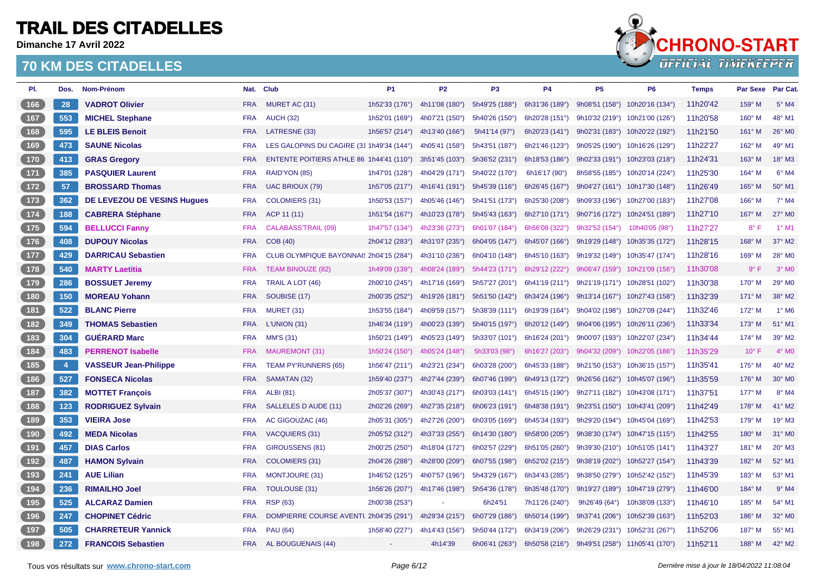**Dimanche 17 Avril 2022**



| PI.   | Dos.           | Nom-Prénom                         |            | Nat. Club                                             | <b>P1</b>      | <b>P2</b>      | P <sub>3</sub>   | <b>P4</b>               | <b>P5</b>      | P <sub>6</sub>                 | <b>Temps</b> | Par Sexe       | Par Cat.           |
|-------|----------------|------------------------------------|------------|-------------------------------------------------------|----------------|----------------|------------------|-------------------------|----------------|--------------------------------|--------------|----------------|--------------------|
| 166   | 28             | <b>VADROT Olivier</b>              | <b>FRA</b> | MURET AC (31)                                         | 1h52'33 (176°) | 4h11'08 (180°) | 5h49'25 (188°)   | 6h31'36 (189°)          |                | 9h08'51 (158°) 10h20'16 (134°) | 11h20'42     | 159° M         | $5^\circ$ M4       |
| 167   | 553            | <b>MICHEL Stephane</b>             | <b>FRA</b> | <b>AUCH (32)</b>                                      | 1h52'01 (169°) | 4h07'21 (150°) | 5h40'26 (150°)   | 6h20'28 (151°)          | 9h10'32 (219°) | 10h21'00 (126°)                | 11h20'58     | $160^\circ$ M  | 48° M1             |
| (168) | 595            | <b>LE BLEIS Benoit</b>             | <b>FRA</b> | LATRESNE (33)                                         | 1h56'57 (214°) | 4h13'40 (166°) | 5h41'14 (97°)    | 6h20'23 (141°)          | 9h02'31 (183°) | 10h20'22 (192°)                | 11h21'50     | 161° M         | 26° MO             |
| 169   | 473            | <b>SAUNE Nicolas</b>               | <b>FRA</b> | LES GALOPINS DU CAGIRE (31 1h49'34 (144°)             |                | 4h05'41 (158°) | 5h43'51 (187°)   | 6h21'46 (123°)          | 9h05'25 (190°) | 10h16'26 (129°)                | 11h22'27     | 162° M         | 49° M1             |
| $170$ | 413            | <b>GRAS Gregory</b>                | <b>FRA</b> | ENTENTE POITIERS ATHLE 86 1h44'41 (110°)              |                | 3h51'45 (103°) | 5h36'52 (231°)   | 6h18'53 (186°)          | 9h02'33 (191°) | 10h23'03 (218°)                | 11h24'31     | $163^\circ$ M  | $18^\circ$ M3      |
| 171   | 385            | <b>PASQUIER Laurent</b>            | <b>FRA</b> | RAID'YON (85)                                         | 1h47'01 (128°) | 4h04'29 (171°) | 5h40'22 (170°)   | 6h16'17 (90°)           | 8h58'55 (185°) | 10h20'14 (224°)                | 11h25'30     | 164° M         | $6°$ M4            |
| (172) | 57             | <b>BROSSARD Thomas</b>             | <b>FRA</b> | <b>UAC BRIOUX (79)</b>                                | 1h57'05 (217°) | 4h16'41 (191°) | 5h45'39 (116°)   | 6h26'45 (167°)          | 9h04'27(161°)  | 10h17'30 (148°)                | 11h26'49     | $165^\circ$ M  | 50° M1             |
| $173$ | 362            | <b>DE LEVEZOU DE VESINS Huques</b> | <b>FRA</b> | <b>COLOMIERS (31)</b>                                 | 1h50'53 (157°) | 4h05'46 (146°) | 5h41'51 (173°)   | 6h25'30 (208°)          | 9h09'33 (196°) | 10h27'00 (183°)                | 11h27'08     | 166° M         | $7^\circ$ M4       |
| 174   | 188            | <b>CABRERA Stéphane</b>            | <b>FRA</b> | ACP 11 (11)                                           | 1h51'54 (167°) | 4h10'23 (178°) | 5h45'43 (163°)   | 6h27'10 (171°)          | 9h07'16 (172°) | 10h24'51 (189°)                | 11h27'10     | $167^\circ$ M  | 27° M0             |
| $175$ | 594            | <b>BELLUCCI Fanny</b>              | <b>FRA</b> | <b>CALABASS'TRAIL (09)</b>                            | 1h47'57 (134°) | 4h23'36 (273°) | 6h01'07 (184°)   | 6h56'08 (322°)          | 9h32'52 (154°) | 10h40'05 (98°)                 | 11h27'27     | $8^{\circ}$ F  | $1°$ M1            |
| 176   | 408            | <b>DUPOUY Nicolas</b>              | <b>FRA</b> | COB (40)                                              | 2h04'12 (283°) | 4h31'07 (235°) | 6h04'05 (147°)   | 6h45'07 (166°)          |                | 9h19'29 (148°) 10h35'35 (172°) | 11h28'15     | 168° M         | $37^\circ$ M2      |
| 177   | 429            | <b>DARRICAU Sebastien</b>          | <b>FRA</b> | CLUB OLYMPIQUE BAYONNAI: 2h04'15 (284°)               |                | 4h31'10 (236°) | 6h04'10 (148°)   | 6h45'10 (163°)          | 9h19'32 (149°) | 10h35'47 (174°)                | 11h28'16     | $169^\circ$ M  | 28° M0             |
| 178   | 540            | <b>MARTY Laetitia</b>              | <b>FRA</b> | <b>TEAM BINOUZE (82)</b>                              | 1h49'09 (139°) | 4h08'24 (189°) | 5h44'23 (171°)   | 6h29'12 (222°)          | 9h06'47 (159°) | 10h21'09 (156°)                | 11h30'08     | $9^{\circ}$ F  | $3°$ MO            |
| $179$ | 286            | <b>BOSSUET Jeremy</b>              | <b>FRA</b> | TRAIL A LOT (46)                                      | 2h00'10 (245°) | 4h17'16 (169°) | 5h57'27 (201°)   | 6h41'19 (211°)          | 9h21'19(171°)  | 10h28'51 (102°)                | 11h30'38     | 170° M         | 29° M0             |
| (180) | 150            | <b>MOREAU Yohann</b>               | <b>FRA</b> | SOUBISE (17)                                          | 2h00'35 (252°) | 4h19'26 (181°) | 5h51'50 (142°)   | 6h34'24 (196°)          | 9h13'14(167°)  | 10h27'43 (158°)                | 11h32'39     | 171° M         | 38° M2             |
| 181   | 522            | <b>BLANC Pierre</b>                | <b>FRA</b> | <b>MURET (31)</b>                                     | 1h53'55 (184°) | 4h09'59 (157°) | 5h38'39 (111°)   | 6h19'39 (164°)          | 9h04'02 (198°) | 10h27'09 (244°)                | 11h32'46     | 172° M         | $1^\circ$ M6       |
| 182   | 349            | <b>THOMAS Sebastien</b>            | <b>FRA</b> | L'UNION (31)                                          | 1h46'34 (119°) | 4h00'23 (139°) | 5h40'15 (197°)   | 6h20'12 (149°)          | 9h04'06(195°)  | 10h26'11 (236°)                | 11h33'34     | $173^\circ$ M  | $51^{\circ}$ M1    |
| 183   | 304            | <b>GUÉRARD Marc</b>                | <b>FRA</b> | <b>MM'S (31)</b>                                      | 1h50'21 (149°) | 4h05'23 (149°) | 5h33'07 (101°)   | 6h16'24 (201°)          | 9h00'07 (193°) | 10h22'07 (234°)                | 11h34'44     | $174^\circ$ M  | 39° M2             |
| $184$ | 483            | <b>PERRENOT Isabelle</b>           | <b>FRA</b> | <b>MAUREMONT (31)</b>                                 | 1h50'24 (150°) | 4h05'24 (148°) | 5h33'03 (98°)    | 6h16'27 (203°)          | 9h04'32 (209°) | 10h22'05 (186°)                | 11h35'29     | $10^{\circ}$ F | $4^\circ$ MO       |
| $185$ | $\overline{4}$ | <b>VASSEUR Jean-Philippe</b>       | <b>FRA</b> | <b>TEAM PY'RUNNERS (65)</b>                           | 1h56'47 (211°) | 4h23'21 (234°) | 6h03'28 (200°)   | 6h45'33 (188°)          |                | 9h21'50 (153°) 10h36'15 (157°) | 11h35'41     | 175° M         | 40° M2             |
| (186) | 527            | <b>FONSECA Nicolas</b>             | <b>FRA</b> | SAMATAN (32)                                          | 1h59'40 (237°) | 4h27'44 (239°) | 6h07'46 (199°)   | 6h49'13 (172°)          |                | 9h26'56 (162°) 10h45'07 (196°) | 11h35'59     | 176° M         | 30° M <sub>0</sub> |
| 187   | 382            | <b>MOTTET François</b>             | <b>FRA</b> | <b>ALBI</b> (81)                                      | 2h05'37 (307°) | 4h30'43 (217°) | 6h03'03(141°)    | 6h45'15 (190°)          | 9h27'11 (182°) | 10h43'08 (171°)                | 11h37'51     | $177^\circ$ M  | $8^\circ$ M4       |
| (188) | 123            | <b>RODRIGUEZ Sylvain</b>           | <b>FRA</b> | SALLELES D AUDE (11)                                  | 2h02'26 (269°) | 4h27'35 (218°) | 6h06'23 (191°)   | 6h48'38 (191°)          | 9h23'51 (150°) | 10h43'41 (209°)                | 11h42'49     | 178° M         | 41° M2             |
| 189   | 353            | <b>VIEIRA Jose</b>                 | <b>FRA</b> | AC GIGOUZAC (46)                                      | 2h05'31 (305°) | 4h27'26 (200°) | 6h03'05 (169°)   | 6h45'34 (193°)          | 9h29'20 (194°) | 10h45'04 (169°)                | 11h42'53     | 179° M         | 19° M3             |
| (190) | 492            | <b>MEDA Nicolas</b>                | <b>FRA</b> | <b>VACQUIERS (31)</b>                                 | 2h05'52 (312°) | 4h37'33 (255°) | 6h14'30 (180°)   | 6h58'00 (205°)          |                | 9h38'30 (174°) 10h47'15 (115°) | 11h42'55     | 180° M         | 31° MO             |
| 191   | 457            | <b>DIAS Carlos</b>                 | <b>FRA</b> | GIROUSSENS (81)                                       | 2h00'25 (250°) | 4h18'04 (172°) | 6h02'57 (229°)   | 6h51'05 (260°)          |                | 9h39'30 (210°) 10h51'05 (141°) | 11h43'27     | 181° M         | $20^\circ$ M3      |
| (192) | 487            | <b>HAMON Sylvain</b>               | <b>FRA</b> | <b>COLOMIERS (31)</b>                                 | 2h04'26 (288°) | 4h28'00 (209°) | 6h07'55 (198°)   | 6h52'02 (215°)          | 9h38'19 (202°) | 10h52'27 (154°)                | 11h43'39     | 182° M         | 52° M1             |
| (193) | 241            | <b>AUE Lilian</b>                  | <b>FRA</b> | <b>MONTJOURE (31)</b>                                 | 1h46'52 (125°) | 4h07'57 (196°) | 5h43'29 (167°)   | 6h34'43 (285°)          | 9h38'50 (279°) | 10h52'42 (152°)                | 11h45'39     | 183° M         | 53° M1             |
| (194) | 236            | <b>RIMAILHO Joel</b>               | <b>FRA</b> | TOULOUSE (31)                                         | 1h56'26 (207°) | 4h17'46 (198°) | 5h54'36 (178°)   | 6h35'48 $(170^{\circ})$ | 9h19'27 (189°) | 10h47'19 (279°)                | 11h46'00     | 184° M         | $9°$ M4            |
| 195   | 525            | <b>ALCARAZ Damien</b>              | <b>FRA</b> | <b>RSP (63)</b>                                       | 2h00'38 (253°) |                | 6h24'51          | 7h11'26 (240°)          | 9h26'49 (64°)  | 10h38'09 (133°)                | 11h46'10     | 185° M         | 54° M1             |
| 196   | 247            | <b>CHOPINET Cédric</b>             | <b>FRA</b> | DOMPIERRE COURSE AVENTL 2h04'35 (291°) 4h29'34 (215°) |                |                | 6h07'29 (186°)   | 6h50'14 (199°)          |                | 9h37'41 (206°) 10h52'39 (163°) | 11h52'03     | 186° M         | 32° M0             |
| 197   | 505            | <b>CHARRETEUR Yannick</b>          | <b>FRA</b> | <b>PAU (64)</b>                                       | 1h58'40 (227°) | 4h14'43 (156°) | 5h50'44 (172°)   | 6h34'19 (206°)          |                | 9h26'29 (231°) 10h52'31 (267°) | 11h52'06     | 187° M         | 55° M1             |
| (198) | 272            | <b>FRANCOIS Sebastien</b>          | <b>FRA</b> | AL BOUGUENAIS (44)                                    | $\omega$       | 4h14'39        | $6h06'41$ (263°) | 6h50'58 (216°)          |                | 9h49'51 (258°) 11h05'41 (170°) | 11h52'11     | 188° M         | 42° M2             |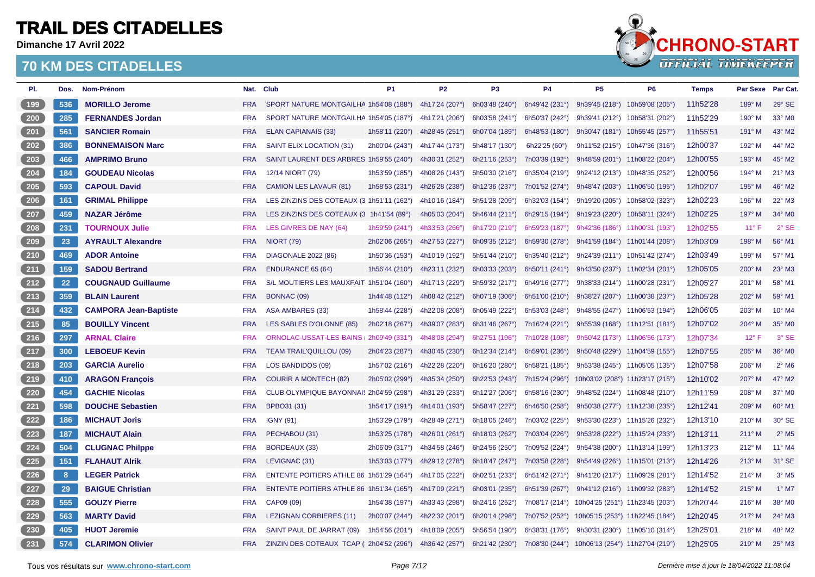**Dimanche 17 Avril 2022**



| PI.                          | Dos. | Nom-Prénom                   |            | Nat. Club                                 | P <sub>1</sub>            | P <sub>2</sub> | P <sub>3</sub> | <b>P4</b>              | P <sub>5</sub>                  | P <sub>6</sub>                 | <b>Temps</b> | Par Sexe Par Cat. |                            |
|------------------------------|------|------------------------------|------------|-------------------------------------------|---------------------------|----------------|----------------|------------------------|---------------------------------|--------------------------------|--------------|-------------------|----------------------------|
| 199                          | 536  | <b>MORILLO Jerome</b>        | <b>FRA</b> | SPORT NATURE MONTGAILHA 1h54'08 (188°)    |                           | 4h17'24 (207°) | 6h03'48 (240°) | 6h49'42 (231°)         | 9h39'45 (218°) 10h59'08 (205°)  |                                | 11h52'28     | $189^\circ$ M     | $29^\circ$ SE              |
| 200                          | 285  | <b>FERNANDES Jordan</b>      | <b>FRA</b> | SPORT NATURE MONTGAILHA 1h54'05 (187°)    |                           | 4h17'21 (206°) | 6h03'58 (241°) | 6h50'37 (242°)         | 9h39'41 (212°)                  | 10h58'31 (202°)                | 11h52'29     | 190° M            | 33° MO                     |
| $\sqrt{201}$                 | 561  | <b>SANCIER Romain</b>        | <b>FRA</b> | <b>ELAN CAPIANAIS (33)</b>                | 1h58'11 $(220^\circ)$     | 4h28'45 (251°) | 6h07'04 (189°) | 6h48'53 (180°)         | 9h30'47 (181°)                  | 10h55'45 (257°)                | 11h55'51     | $191^\circ$ M     | 43° M2                     |
| 202                          | 386  | <b>BONNEMAISON Marc</b>      | <b>FRA</b> | SAINT ELIX LOCATION (31)                  | 2h00'04 (243°)            | 4h17'44 (173°) | 5h48'17 (130°) | 6h22'25 $(60^{\circ})$ | 9h11'52(215°)                   | 10h47'36 (316°)                | 12h00'37     | 192° M            | 44° M2                     |
| $\left( \right. 203 \right.$ | 466  | <b>AMPRIMO Bruno</b>         | <b>FRA</b> | SAINT LAURENT DES ARBRES 1h59'55 (240°)   |                           | 4h30'31 (252°) | 6h21'16 (253°) | 7h03'39 (192°)         |                                 | 9h48'59 (201°) 11h08'22 (204°) | 12h00'55     | 193° M            | 45° M2                     |
| $204$                        | 184  | <b>GOUDEAU Nicolas</b>       | <b>FRA</b> | 12/14 NIORT (79)                          | 1h53'59 (185°)            | 4h08'26 (143°) | 5h50'30 (216°) | 6h35'04 (219°)         | 9h24'12 (213°)                  | 10h48'35 (252°)                | 12h00'56     | 194° M            | $21^{\circ}$ M3            |
| $205$                        | 593  | <b>CAPOUL David</b>          | <b>FRA</b> | <b>CAMION LES LAVAUR (81)</b>             | 1h58'53 $(231^\circ)$     | 4h26'28 (238°) | 6h12'36 (237°) | 7h01'52 (274°)         | 9h48'47 (203°)                  | 11h06'50 (195°)                | 12h02'07     | $195^\circ$ M     | 46° M2                     |
| $206$                        | 161  | <b>GRIMAL Philippe</b>       | <b>FRA</b> | LES ZINZINS DES COTEAUX (3 1h51'11 (162°) |                           | 4h10'16 (184°) | 5h51'28 (209°) | 6h32'03 (154°)         | 9h19'20 (205°)                  | 10h58'02 (323°)                | 12h02'23     | 196° M            | 22° M3                     |
| 207                          | 459  | <b>NAZAR Jérôme</b>          | <b>FRA</b> | LES ZINZINS DES COTEAUX (3 1h41'54 (89°)  |                           | 4h05'03 (204°) | 5h46'44 (211°) | 6h29'15 (194°)         | 9h19'23 (220°)                  | 10h58'11 (324°)                | 12h02'25     | $197^\circ$ M     | 34° MO                     |
| $\boxed{208}$                | 231  | <b>TOURNOUX Julie</b>        | <b>FRA</b> | LES GIVRES DE NAY (64)                    | 1h59'59 (241°)            | 4h33'53 (266°) | 6h17'20 (219°) | 6h59'23 (187°)         |                                 | 9h42'36 (186°) 11h00'31 (193°) | 12h02'55     | $11^{\circ}$ F    | $2°$ SE                    |
| 209                          | 23   | <b>AYRAULT Alexandre</b>     | <b>FRA</b> | <b>NIORT (79)</b>                         | 2h02'06 (265°)            | 4h27'53 (227°) | 6h09'35 (212°) | 6h59'30 (278°)         |                                 | 9h41'59 (184°) 11h01'44 (208°) | 12h03'09     | 198° M            | 56° M1                     |
| 210                          | 469  | <b>ADOR Antoine</b>          | <b>FRA</b> | <b>DIAGONALE 2022 (86)</b>                | 1h50'36 (153°)            | 4h10'19 (192°) | 5h51'44 (210°) | 6h35'40 (212°)         |                                 | 9h24'39 (211°) 10h51'42 (274°) | 12h03'49     | $199^\circ$ M     | 57° M1                     |
| (211)                        | 159  | <b>SADOU Bertrand</b>        | <b>FRA</b> | <b>ENDURANCE 65 (64)</b>                  | 1h56'44 $(210^{\circ})$   | 4h23'11 (232°) | 6h03'33 (203°) | 6h50'11 (241°)         | 9h43'50 (237°)                  | 11h02'34 (201°)                | 12h05'05     | $200^\circ$ M     | $23^\circ$ M3              |
| 212                          | 22   | <b>COUGNAUD Guillaume</b>    | <b>FRA</b> | S/L MOUTIERS LES MAUXFAIT 1h51'04 (160°)  |                           | 4h17'13 (229°) | 5h59'32 (217°) | 6h49'16 (277°)         | 9h38'33 (214°)                  | 11h00'28 (231°)                | 12h05'27     | $201^\circ$ M     | 58° M1                     |
| 213                          | 359  | <b>BLAIN Laurent</b>         | <b>FRA</b> | BONNAC (09)                               | 1h44'48 (112°)            | 4h08'42 (212°) | 6h07'19 (306°) | 6h51'00 (210°)         |                                 | 9h38'27 (207°) 11h00'38 (237°) | 12h05'28     | $202^\circ$ M     | 59° M1                     |
| $214$                        | 432  | <b>CAMPORA Jean-Baptiste</b> | <b>FRA</b> | ASA AMBARES (33)                          | 1h58'44 (228°)            | 4h22'08 (208°) | 6h05'49 (222°) | 6h53'03 (248°)         |                                 | 9h48'55 (247°) 11h06'53 (194°) | 12h06'05     | 203° M            | 10° M4                     |
| 215                          | 85   | <b>BOUILLY Vincent</b>       | <b>FRA</b> | LES SABLES D'OLONNE (85)                  | 2h02'18 (267°)            | 4h39'07 (283°) | 6h31'46 (267°) | 7h16'24 (221°)         |                                 | 9h55'39 (168°) 11h12'51 (181°) | 12h07'02     | 204° M            | 35° MO                     |
| 216                          | 297  | <b>ARNAL Claire</b>          | <b>FRA</b> | ORNOLAC-USSAT-LES-BAINS   2h09'49 (331°)  |                           | 4h48'08 (294°) | 6h27'51 (196°) | 7h10'28 (198°)         |                                 | 9h50'42 (173°) 11h06'56 (173°) | 12h07'34     | $12^{\circ}$ F    | 3° SE                      |
| 217                          | 300  | <b>LEBOEUF Kevin</b>         | <b>FRA</b> | <b>TEAM TRAIL'QUILLOU (09)</b>            | 2h04'23 (287°)            | 4h30'45 (230°) | 6h12'34 (214°) | 6h59'01 (236°)         | 9h50'48 (229°)                  | 11h04'59 (155°)                | 12h07'55     | 205° M            | 36° MO                     |
| 218                          | 203  | <b>GARCIA Aurelio</b>        | FRA        | LOS BANDIDOS (09)                         | 1h57'02 (216°)            | 4h22'28 (220°) | 6h16'20 (280°) | 6h58'21 (185°)         |                                 | 9h53'38 (245°) 11h05'05 (135°) | 12h07'58     | $206^\circ$ M     | $2^{\circ}$ M6             |
| 219                          | 410  | <b>ARAGON Francois</b>       | <b>FRA</b> | <b>COURIR A MONTECH (82)</b>              | 2h05'02 (299°)            | 4h35'34 (250°) | 6h22'53 (243°) | 7h15'24 (296°)         | 10h03'02 (208°) 11h23'17 (215°) |                                | 12h10'02     | $207^\circ$ M     | 47° M2                     |
| $220$                        | 454  | <b>GACHIE Nicolas</b>        | <b>FRA</b> | CLUB OLYMPIQUE BAYONNAI: 2h04'59 (298°)   |                           | 4h31'29 (233°) | 6h12'27 (206°) | 6h58'16 (230°)         |                                 | 9h48'52 (224°) 11h08'48 (210°) | 12h11'59     | 208° M            | 37° MO                     |
| 221                          | 598  | <b>DOUCHE Sebastien</b>      | <b>FRA</b> | BPBO31 (31)                               | 1h54'17 (191 $^{\circ}$ ) | 4h14'01 (193°) | 5h58'47 (227°) | 6h46'50 (258°)         | 9h50'38 (277°)                  | 11h12'38 (235°)                | 12h12'41     | $209^\circ$ M     | 60° M1                     |
| 222                          | 186  | <b>MICHAUT Joris</b>         | <b>FRA</b> | <b>IGNY (91)</b>                          | 1h53'29 (179°)            | 4h28'49 (271°) | 6h18'05 (246°) | 7h03'02 (225°)         | 9h53'30 (223°)                  | 11h15'26 (232°)                | 12h13'10     | $210^\circ$ M     | 30° SE                     |
| 223                          | 187  | <b>MICHAUT Alain</b>         | <b>FRA</b> | PECHABOU (31)                             | 1h53'25 $(178°)$          | 4h26'01 (261°) | 6h18'03 (262°) | 7h03'04 (226°)         |                                 | 9h53'28 (222°) 11h15'24 (233°) | 12h13'11     | $211^\circ$ M     | $2^{\circ}$ M <sub>5</sub> |
| 224                          | 504  | <b>CLUGNAC Philppe</b>       | <b>FRA</b> | <b>BORDEAUX (33)</b>                      | 2h06'09 (317°)            | 4h34'58 (246°) | 6h24'56 (250°) | 7h09'52 (224°)         |                                 | 9h54'38 (200°) 11h13'14 (199°) | 12h13'23     | $212^{\circ}$ M   | 11° M4                     |
| $225$                        | 151  | <b>FLAHAUT AIrik</b>         | <b>FRA</b> | LEVIGNAC (31)                             | 1h53'03 (177°)            | 4h29'12 (278°) | 6h18'47 (247°) | 7h03'58 (228°)         | 9h54'49 (226°)                  | 11h15'01 (213°)                | 12h14'26     | $213^\circ$ M     | 31° SE                     |
| 226                          | 8    | <b>LEGER Patrick</b>         | <b>FRA</b> | ENTENTE POITIERS ATHLE 86 1h51'29 (164°)  |                           | 4h17'05 (222°) | 6h02'51 (233°) | 6h51'42 (271°)         |                                 | 9h41'20 (217°) 11h09'29 (281°) | 12h14'52     | $214^{\circ}$ M   | $3^\circ$ M <sub>5</sub>   |
| 227                          | 29   | <b>BAIGUE Christian</b>      | <b>FRA</b> | ENTENTE POITIERS ATHLE 86 1h51'34 (165°)  |                           | 4h17'09 (221°) | 6h03'01 (235°) | 6h51'39 (267°)         |                                 | 9h41'12 (216°) 11h09'32 (283°) | 12h14'52     | $215^\circ$ M     | $1^\circ$ M7               |
| 228                          | 555  | <b>GOUZY Pierre</b>          | <b>FRA</b> | CAP09 (09)                                | 1h54'38 (197°)            | 4h33'43 (298°) | 6h24'16 (252°) | 7h08'17 (214°)         | 10h04'25 (251°) 11h23'45 (203°) |                                | 12h20'44     | $216^\circ$ M     | 38° MO                     |
| 229                          | 563  | <b>MARTY David</b>           | <b>FRA</b> | <b>LEZIGNAN CORBIERES (11)</b>            | 2h00'07 (244°)            | 4h22'32 (201°) | 6h20'14 (298°) | 7h07'52 (252°)         | 10h05'15 (253°) 11h22'45 (184°) |                                | 12h20'45     | $217^\circ$ M     | 24° M3                     |
| $\sqrt{230}$                 | 405  | <b>HUOT Jeremie</b>          | <b>FRA</b> | SAINT PAUL DE JARRAT (09)                 | 1h54'56 (201°)            | 4h18'09 (205°) | 5h56'54 (190°) | 6h38'31 (176°)         |                                 | 9h30'31 (230°) 11h05'10 (314°) | 12h25'01     | 218° M            | 48° M2                     |
| $\left( 231 \right)$         | 574  | <b>CLARIMON Olivier</b>      | <b>FRA</b> | ZINZIN DES COTEAUX TCAP (2h04'52 (296°)   |                           | 4h36'42 (257°) | 6h21'42 (230°) | 7h08'30 (244°)         | 10h06'13 (254°) 11h27'04 (219°) |                                | 12h25'05     | $219^\circ$ M     | $25^{\circ}$ M3            |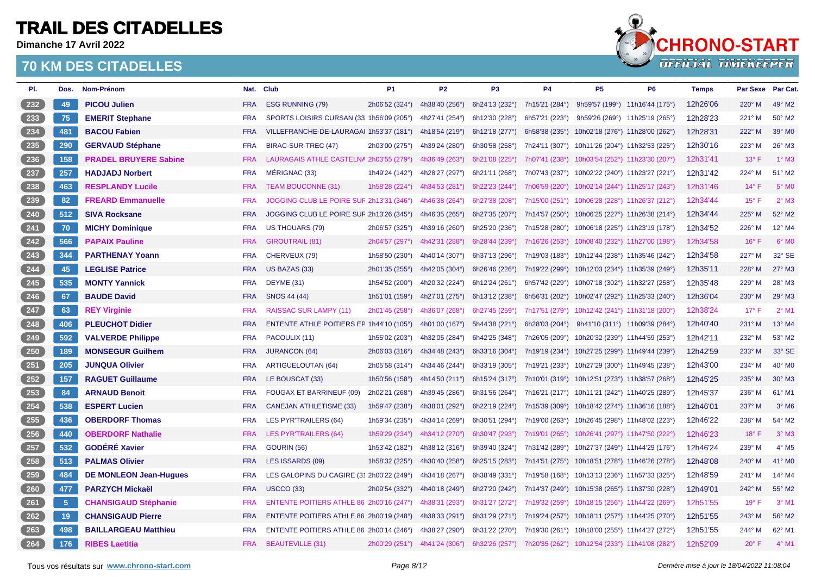**Dimanche 17 Avril 2022**



| PI.             | Dos.           | Nom-Prénom                    |            | Nat. Club                                 | <b>P1</b>      | <b>P2</b>      | P <sub>3</sub> | <b>P4</b>      | P <sub>5</sub>                                 | P <sub>6</sub> | <b>Temps</b> | Par Sexe Par Cat. |                          |
|-----------------|----------------|-------------------------------|------------|-------------------------------------------|----------------|----------------|----------------|----------------|------------------------------------------------|----------------|--------------|-------------------|--------------------------|
| $232$           | 49             | <b>PICOU Julien</b>           | <b>FRA</b> | <b>ESG RUNNING (79)</b>                   | 2h06'52 (324°) | 4h38'40 (256°) | 6h24'13 (232°) | 7h15'21 (284°) | 9h59'57 (199°) 11h16'44 (175°)                 |                | 12h26'06     | $220^\circ$ M     | 49° M2                   |
| 233             | 75             | <b>EMERIT Stephane</b>        | <b>FRA</b> | SPORTS LOISIRS CURSAN (33 1h56'09 (205°)  |                | 4h27'41 (254°) | 6h12'30 (228°) | 6h57'21 (223°) | 9h59'26 (269°) 11h25'19 (265°)                 |                | 12h28'23     | 221° M            | 50° M2                   |
| $\frac{234}{ }$ | 481            | <b>BACOU Fabien</b>           | <b>FRA</b> | VILLEFRANCHE-DE-LAURAGAI 1h53'37 (181°)   |                | 4h18'54 (219°) | 6h12'18 (277°) | 6h58'38 (235°) | 10h02'18 (276°) 11h28'00 (262°)                |                | 12h28'31     | $222^\circ$ M     | 39° MO                   |
| $235$           | 290            | <b>GERVAUD Stéphane</b>       | <b>FRA</b> | BIRAC-SUR-TREC (47)                       | 2h03'00 (275°) | 4h39'24 (280°) | 6h30'58 (258°) | 7h24'11 (307°) | 10h11'26 (204°) 11h32'53 (225°)                |                | 12h30'16     | 223° M            | 26° M3                   |
| $236$           | 158            | <b>PRADEL BRUYERE Sabine</b>  | <b>FRA</b> | LAURAGAIS ATHLE CASTELNA 2h03'55 (279°)   |                | 4h36'49 (263°) | 6h21'08 (225°) | 7h07'41 (238°) | 10h03'54 (252°) 11h23'30 (207°)                |                | 12h31'41     | $13^\circ$ F      | $1^\circ$ M3             |
| 237             | 257            | <b>HADJADJ Norbert</b>        | <b>FRA</b> | MÉRIGNAC (33)                             | 1h49'24 (142°) | 4h28'27 (297°) | 6h21'11 (268°) | 7h07'43 (237°) | 10h02'22 (240°) 11h23'27 (221°)                |                | 12h31'42     | 224° M            | 51° M2                   |
| 238             | 463            | <b>RESPLANDY Lucile</b>       | <b>FRA</b> | <b>TEAM BOUCONNE (31)</b>                 | 1h58'28 (224°) | 4h34'53 (281°) | 6h22'23 (244°) | 7h06'59 (220°) | 10h02'14 (244°) 11h25'17 (243°)                |                | 12h31'46     | $14^{\circ}$ F    | $5^\circ$ MO             |
| $239$           | 82             | <b>FREARD Emmanuelle</b>      | <b>FRA</b> | JOGGING CLUB LE POIRE SUF 2h13'31 (346°)  |                | 4h46'38 (264°) | 6h27'38 (208°) |                | 7h15'00 (251°) 10h06'28 (228°) 11h26'37 (212°) |                | 12h34'44     | $15^{\circ}$ F    | $2^{\circ}$ M3           |
| $\frac{240}{2}$ | 512            | <b>SIVA Rocksane</b>          | <b>FRA</b> | JOGGING CLUB LE POIRE SUF 2h13'26 (345°)  |                | 4h46'35 (265°) | 6h27'35 (207°) | 7h14'57 (250°) | 10h06'25 (227°) 11h26'38 (214°)                |                | 12h34'44     | 225° M            | 52° M2                   |
| $241$           | 70             | <b>MICHY Dominique</b>        | <b>FRA</b> | <b>US THOUARS (79)</b>                    | 2h06'57 (325°) | 4h39'16 (260°) | 6h25'20 (236°) | 7h15'28 (280°) | 10h06'18 (225°) 11h23'19 (178°)                |                | 12h34'52     | 226° M            | 12° M4                   |
| 242             | 566            | <b>PAPAIX Pauline</b>         | <b>FRA</b> | <b>GIROUTRAIL (81)</b>                    | 2h04'57 (297°) | 4h42'31 (288°) | 6h28'44 (239°) |                | 7h16'26 (253°) 10h08'40 (232°) 11h27'00 (198°) |                | 12h34'58     | $16^{\circ}$ F    | $6^{\circ}$ MO           |
| $243$           | 344            | <b>PARTHENAY Yoann</b>        | <b>FRA</b> | CHERVEUX (79)                             | 1h58'50 (230°) | 4h40'14 (307°) | 6h37'13 (296°) |                | 7h19'03 (183°) 10h12'44 (238°) 11h35'46 (242°) |                | 12h34'58     | $227^\circ$ M     | 32° SE                   |
| $\frac{244}{ }$ | 45             | <b>LEGLISE Patrice</b>        | <b>FRA</b> | US BAZAS (33)                             | 2h01'35 (255°) | 4h42'05 (304°) | 6h26'46 (226°) |                | 7h19'22 (299°) 10h12'03 (234°) 11h35'39 (249°) |                | 12h35'11     | 228° M            | $27^\circ$ M3            |
| $245$           | 535            | <b>MONTY Yannick</b>          | <b>FRA</b> | DEYME (31)                                | 1h54'52 (200°) | 4h20'32 (224°) | 6h12'24 (261°) | 6h57'42 (229°) | 10h07'18 (302°) 11h32'27 (258°)                |                | 12h35'48     | 229° M            | 28° M3                   |
| $246$           | 67             | <b>BAUDE David</b>            | <b>FRA</b> | SNOS 44 (44)                              | 1h51'01 (159°) | 4h27'01 (275°) | 6h13'12 (238°) | 6h56'31 (202°) | 10h02'47 (292°) 11h25'33 (240°)                |                | 12h36'04     | 230° M            | 29° M3                   |
| 247             | 63             | <b>REY Virginie</b>           | <b>FRA</b> | <b>RAISSAC SUR LAMPY (11)</b>             | 2h01'45 (258°) | 4h36'07 (268°) | 6h27'45 (259°) | 7h17'51 (279°) | 10h12'42 (241°) 11h31'18 (200°                 |                | 12h38'24     | $17^{\circ}$ F    | $2^{\circ}$ M1           |
| $\frac{248}{ }$ | 406            | <b>PLEUCHOT Didier</b>        | <b>FRA</b> | ENTENTE ATHLE POITIERS EP 1h44'10 (105°)  |                | 4h01'00 (167°) | 5h44'38 (221°) | 6h28'03 (204°) | 9h41'10 (311°) 11h09'39 (284°)                 |                | 12h40'40     | $231^\circ$ M     | $13^{\circ}$ M4          |
| 249             | 592            | <b>VALVERDE Philippe</b>      | <b>FRA</b> | PACOULIX (11)                             | 1h55'02 (203°) | 4h32'05 (284°) | 6h42'25 (348°) |                | 7h26'05 (209°) 10h20'32 (239°) 11h44'59 (253°) |                | 12h42'11     | 232° M            | 53° M2                   |
| $250$           | 189            | <b>MONSEGUR Guilhem</b>       | <b>FRA</b> | <b>JURANCON (64)</b>                      | 2h06'03 (316°) | 4h34'48 (243°) | 6h33'16 (304°) |                | 7h19'19 (234°) 10h27'25 (299°) 11h49'44 (239°) |                | 12h42'59     | 233° M            | 33° SE                   |
| 251             | 205            | <b>JUNQUA Olivier</b>         | <b>FRA</b> | <b>ARTIGUELOUTAN (64)</b>                 | 2h05'58 (314°) | 4h34'46 (244°) | 6h33'19 (305°) |                | 7h19'21 (233°) 10h27'29 (300°) 11h49'45 (238°) |                | 12h43'00     | 234° M            | 40° M0                   |
| 252             | 157            | <b>RAGUET Guillaume</b>       | <b>FRA</b> | LE BOUSCAT (33)                           | 1h50'56 (158°) | 4h14'50 (211°) | 6h15'24 (317°) |                | 7h10'01 (319°) 10h12'51 (273°) 11h38'57 (268°) |                | 12h45'25     | 235° M            | 30° M3                   |
| 253             | 84             | <b>ARNAUD Benoit</b>          | <b>FRA</b> | FOUGAX ET BARRINEUF (09)                  | 2h02'21 (268°) | 4h39'45 (286°) | 6h31'56 (264°) |                | 7h16'21 (217°) 10h11'21 (242°) 11h40'25 (289°) |                | 12h45'37     | $236^\circ$ M     | 61° M1                   |
| $254$           | 538            | <b>ESPERT Lucien</b>          | <b>FRA</b> | <b>CANEJAN ATHLETISME (33)</b>            | 1h59'47 (238°) | 4h38'01 (292°) | 6h22'19 (224°) |                | 7h15'39 (309°) 10h18'42 (274°) 11h36'16 (188°) |                | 12h46'01     | $237^\circ$ M     | $3^\circ$ M <sub>6</sub> |
| $255$           | 436            | <b>OBERDORF Thomas</b>        | <b>FRA</b> | <b>LES PYR'TRAILERS (64)</b>              | 1h59'34 (235°) | 4h34'14 (269°) | 6h30'51 (294°) | 7h19'00 (263°) | 10h26'45 (298°) 11h48'02 (223°)                |                | 12h46'22     | 238° M            | 54° M2                   |
| 256             | 440            | <b>OBERDORF Nathalie</b>      | <b>FRA</b> | <b>LES PYR'TRAILERS (64)</b>              | 1h59'29 (234°) | 4h34'12 (270°) | 6h30'47 (293°) |                | 7h19'01 (265°) 10h26'41 (297°) 11h47'50 (222°) |                | 12h46'23     | $18^{\circ}$ F    | $3^\circ$ M3             |
| 257             | 532            | <b>GODÉRÉ Xavier</b>          | <b>FRA</b> | <b>GOURIN (56)</b>                        | 1h53'42 (182°) | 4h38'12 (316°) | 6h39'40 (324°) | 7h31'42 (289°) | 10h27'37 (249°) 11h44'29 (176°)                |                | 12h46'24     | 239° M            | $4^\circ$ M <sub>5</sub> |
| 258             | 513            | <b>PALMAS Olivier</b>         | <b>FRA</b> | LES ISSARDS (09)                          | 1h58'32 (225°) | 4h30'40 (258°) | 6h25'15 (283°) |                | 7h14'51 (275°) 10h18'51 (278°) 11h46'26 (278°) |                | 12h48'08     | $240^\circ$ M     | 41° MO                   |
| $259$           | 484            | <b>DE MONLEON Jean-Hugues</b> | <b>FRA</b> | LES GALOPINS DU CAGIRE (31 2h00'22 (249°) |                | 4h34'18 (267°) | 6h38'49 (331°) |                | 7h19'58 (168°) 10h13'13 (236°) 11h57'33 (325°) |                | 12h48'59     | $241^\circ$ M     | 14° M4                   |
| 260             | 477            | <b>PARZYCH Mickaël</b>        | <b>FRA</b> | <b>USCCO (33)</b>                         | 2h09'54 (332°) | 4h40'18 (249°) | 6h27'20 (242°) |                | 7h14'37 (249°) 10h15'38 (265°) 11h37'30 (228°) |                | 12h49'01     | 242° M            | 55° M2                   |
| $261$           | 5 <sub>5</sub> | <b>CHANSIGAUD Stéphanie</b>   | <b>FRA</b> | ENTENTE POITIERS ATHLE 86 2h00'16 (247°)  |                | 4h38'31 (293°) | 6h31'27 (272°) |                | 7h19'32 (259°) 10h18'15 (256°) 11h44'22 (269°) |                | 12h51'55     | $19^{\circ}$ F    | $3°$ M1                  |
| $262$           | 19             | <b>CHANSIGAUD Pierre</b>      | <b>FRA</b> | ENTENTE POITIERS ATHLE 86 2h00'19 (248°)  |                | 4h38'33 (291°) | 6h31'29 (271°) |                | 7h19'24 (257°) 10h18'11 (257°) 11h44'25 (270°) |                | 12h51'55     | 243° M            | 56° M2                   |
| $263$           | 498            | <b>BAILLARGEAU Matthieu</b>   | <b>FRA</b> | ENTENTE POITIERS ATHLE 86 2h00'14 (246°)  |                | 4h38'27 (290°) | 6h31'22 (270°) |                | 7h19'30 (261°) 10h18'00 (255°) 11h44'27 (272°) |                | 12h51'55     | $244^\circ$ M     | 62° M1                   |
| 264             | 176            | <b>RIBES Laetitia</b>         | <b>FRA</b> | <b>BEAUTEVILLE (31)</b>                   | 2h00'29 (251°) | 4h41'24 (306°) | 6h32'26 (257°) |                | 7h20'35 (262°) 10h12'54 (233°) 11h41'08 (282°) |                | 12h52'09     | $20^{\circ}$ F    | $4^\circ$ M1             |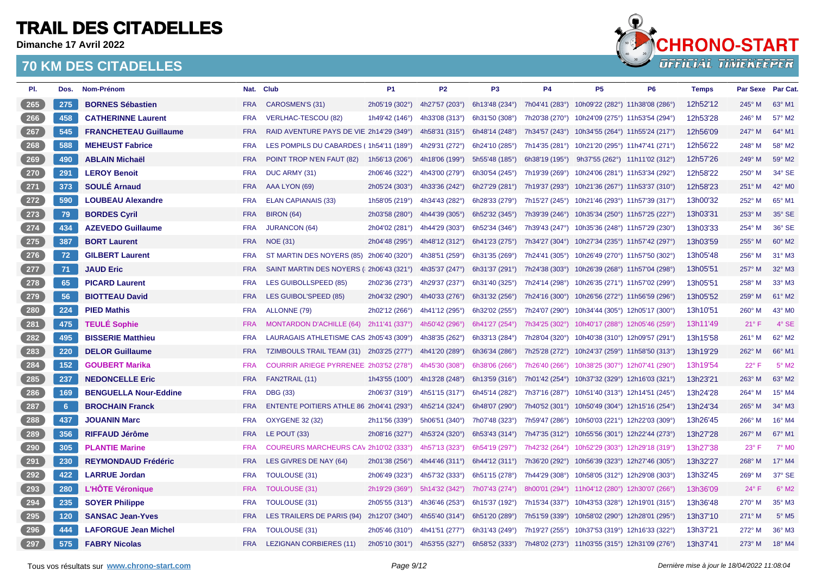**Dimanche 17 Avril 2022**



| PI.                | Dos.        | Nom-Prénom                   |            | Nat. Club                                | <b>P1</b>                     | <b>P2</b>      | P <sub>3</sub> | <b>P4</b>      | <b>P5</b>                                      | P <sub>6</sub> | <b>Temps</b> | <b>Par Sexe</b> | Par Cat.                 |
|--------------------|-------------|------------------------------|------------|------------------------------------------|-------------------------------|----------------|----------------|----------------|------------------------------------------------|----------------|--------------|-----------------|--------------------------|
| 265                | 275         | <b>BORNES Sébastien</b>      | <b>FRA</b> | CAROSMEN'S (31)                          | 2h05'19 (302°)                | 4h27'57 (203°) | 6h13'48 (234°) |                | 7h04'41 (283°) 10h09'22 (282°) 11h38'08 (286°) |                | 12h52'12     | $245^\circ$ M   | 63° M1                   |
| 266                | 458         | <b>CATHERINNE Laurent</b>    | <b>FRA</b> | <b>VERLHAC-TESCOU (82)</b>               | 1h49'42 (146°)                | 4h33'08 (313°) | 6h31'50 (308°) | 7h20'38 (270°) | 10h24'09 (275°) 11h53'54 (294°)                |                | 12h53'28     | $246^\circ$ M   | 57° M2                   |
| 267                | 545         | <b>FRANCHETEAU Guillaume</b> | <b>FRA</b> | RAID AVENTURE PAYS DE VIE 2h14'29 (349°) |                               | 4h58'31 (315°) | 6h48'14 (248°) |                | 7h34'57 (243°) 10h34'55 (264°) 11h55'24 (217°) |                | 12h56'09     | $247^\circ$ M   | 64° M1                   |
| 268                | 588         | <b>MEHEUST Fabrice</b>       | <b>FRA</b> | LES POMPILS DU CABARDES (1h54'11 (189°)  |                               | 4h29'31 (272°) | 6h24'10 (285°) | 7h14'35 (281°) | 10h21'20 (295°) 11h47'41 (271°)                |                | 12h56'22     | 248° M          | 58° M2                   |
| 269                | 490         | <b>ABLAIN Michaël</b>        | <b>FRA</b> | POINT TROP N'EN FAUT (82)                | 1h56'13 (206°)                | 4h18'06 (199°) | 5h55'48 (185°) | 6h38'19 (195°) | 9h37'55 (262°) 11h11'02 (312°)                 |                | 12h57'26     | $249^\circ$ M   | 59° M2                   |
| 270                | 291         | <b>LEROY Benoit</b>          | <b>FRA</b> | DUC ARMY (31)                            | 2h06'46 (322°)                | 4h43'00 (279°) | 6h30'54 (245°) | 7h19'39 (269°) | 10h24'06 (281°) 11h53'34 (292°)                |                | 12h58'22     | 250° M          | 34° SE                   |
| $\overline{271}$   | 373         | <b>SOULÉ Arnaud</b>          | <b>FRA</b> | AAA LYON (69)                            | 2h05'24 (303°)                | 4h33'36 (242°) | 6h27'29 (281°) |                | 7h19'37 (293°) 10h21'36 (267°) 11h53'37 (310°) |                | 12h58'23     | $251^\circ$ M   | 42° MO                   |
| 272                | 590         | <b>LOUBEAU Alexandre</b>     | <b>FRA</b> | ELAN CAPIANAIS (33)                      | 1h58'05 (219°)                | 4h34'43 (282°) | 6h28'33 (279°) |                | 7h15'27 (245°) 10h21'46 (293°) 11h57'39 (317°) |                | 13h00'32     | 252° M          | 65° M1                   |
| 273                | 79          | <b>BORDES Cyril</b>          | <b>FRA</b> | <b>BIRON (64)</b>                        | 2h03'58 (280°)                | 4h44'39 (305°) | 6h52'32 (345°) |                | 7h39'39 (246°) 10h35'34 (250°) 11h57'25 (227°) |                | 13h03'31     | $253^\circ$ M   | $35^\circ$ SE            |
| 274                | 434         | <b>AZEVEDO Guillaume</b>     | <b>FRA</b> | <b>JURANCON (64)</b>                     | 2h04'02 (281°)                | 4h44'29 (303°) | 6h52'34 (346°) |                | 7h39'43 (247°) 10h35'36 (248°) 11h57'29 (230°) |                | 13h03'33     | 254° M          | 36° SE                   |
| $275$              | 387         | <b>BORT Laurent</b>          | <b>FRA</b> | <b>NOE (31)</b>                          | 2h04'48 (295°)                | 4h48'12 (312°) | 6h41'23 (275°) |                | 7h34'27 (304°) 10h27'34 (235°) 11h57'42 (297°) |                | 13h03'59     | $255^{\circ}$ M | 60° M2                   |
| 276                | 72          | <b>GILBERT Laurent</b>       | <b>FRA</b> | ST MARTIN DES NOYERS (85) 2h06'40 (320°) |                               | 4h38'51 (259°) | 6h31'35 (269°) | 7h24'41 (305°) | 10h26'49 (270°) 11h57'50 (302°)                |                | 13h05'48     | $256^\circ$ M   | 31° M3                   |
| 277                | 71          | <b>JAUD Eric</b>             | <b>FRA</b> | SAINT MARTIN DES NOYERS ( 2h06'43 (321°) |                               | 4h35'37 (247°) | 6h31'37 (291°) | 7h24'38 (303°) | 10h26'39 (268°) 11h57'04 (298°)                |                | 13h05'51     | $257^\circ$ M   | 32° M3                   |
| $278$              | 65          | <b>PICARD Laurent</b>        | <b>FRA</b> | LES GUIBOLLSPEED (85)                    | 2h02'36 (273°)                | 4h29'37 (237°) | 6h31'40 (325°) |                | 7h24'14 (298°) 10h26'35 (271°) 11h57'02 (299°) |                | 13h05'51     | $258^\circ$ M   | 33° M3                   |
| 279                | 56          | <b>BIOTTEAU David</b>        | <b>FRA</b> | LES GUIBOL'SPEED (85)                    | 2h04'32 (290°)                | 4h40'33 (276°) | 6h31'32 (256°) | 7h24'16 (300°) | 10h26'56 (272°) 11h56'59 (296°)                |                | 13h05'52     | $259^\circ$ M   | 61° M2                   |
| $280$              | 224         | <b>PIED Mathis</b>           | <b>FRA</b> | ALLONNE (79)                             | 2h02'12 (266°)                | 4h41'12 (295°) | 6h32'02 (255°) | 7h24'07 (290°) | 10h34'44 (305°) 12h05'17 (300°)                |                | 13h10'51     | 260° M          | 43° MO                   |
| $\boxed{281}$      | 475         | <b>TEULÉ Sophie</b>          | <b>FRA</b> | <b>MONTARDON D'ACHILLE (64)</b>          | 2h11'41 (337°)                | 4h50'42 (296°) | 6h41'27 (254°) | 7h34'25 (302°) | 10h40'17 (288°) 12h05'46 (259°)                |                | 13h11'49     | $21°$ F         | $4^\circ$ SE             |
| $282$              | 495         | <b>BISSERIE Matthieu</b>     | <b>FRA</b> | LAURAGAIS ATHLETISME CAS 2h05'43 (309°)  |                               | 4h38'35 (262°) | 6h33'13 (284°) | 7h28'04 (320°) | 10h40'38 (310°) 12h09'57 (291°)                |                | 13h15'58     | 261° M          | 62° M2                   |
| $283$              | 220         | <b>DELOR Guillaume</b>       | <b>FRA</b> | TZIMBOULS TRAIL TEAM (31) 2h03'25 (277°) |                               | 4h41'20 (289°) | 6h36'34 (286°) | 7h25'28 (272°) | 10h24'37 (259°) 11h58'50 (313°)                |                | 13h19'29     | 262° M          | 66° M1                   |
| $284$              | 152         | <b>GOUBERT Marika</b>        | <b>FRA</b> | COURRIR ARIEGE PYRRENEE: 2h03'52 (278°)  |                               | 4h45'30 (308°) | 6h38'06 (266°) | 7h26'40 (266°) | 10h38'25 (307°) 12h07'41 (290°)                |                | 13h19'54     | $22^{\circ}$ F  | $5^\circ$ M2             |
| $285$              | 237         | <b>NEDONCELLE Eric</b>       | <b>FRA</b> | FAN2TRAIL (11)                           | 1h43'55 (100°)                | 4h13'28 (248°) | 6h13'59 (316°) |                | 7h01'42 (254°) 10h37'32 (329°) 12h16'03 (321°) |                | 13h23'21     | 263° M          | 63° M2                   |
| $286$              | 169         | <b>BENGUELLA Nour-Eddine</b> | <b>FRA</b> | <b>DBG (33)</b>                          | 2h06'37 (319°)                | 4h51'15 (317°) | 6h45'14 (282°) | 7h37'16 (287°) | 10h51'40 (313°) 12h14'51 (245°)                |                | 13h24'28     | 264° M          | 15° M4                   |
| $\left(287\right)$ | $6^{\circ}$ | <b>BROCHAIN Franck</b>       | <b>FRA</b> | ENTENTE POITIERS ATHLE 86 2h04'41 (293°) |                               | 4h52'14 (324°) | 6h48'07 (290°) |                | 7h40'52 (301°) 10h50'49 (304°) 12h15'16 (254°) |                | 13h24'34     | 265° M          | 34° M3                   |
| 288                | 437         | <b>JOUANIN Marc</b>          | <b>FRA</b> | <b>OXYGENE 32 (32)</b>                   | 2h11'56 (339°)                | 5h06'51 (340°) | 7h07'48 (323°) |                | 7h59'47 (286°) 10h50'03 (221°) 12h22'03 (309°) |                | 13h26'45     | $266^\circ$ M   | 16° M4                   |
| 289                | 356         | <b>RIFFAUD Jérôme</b>        | <b>FRA</b> | LE POUT (33)                             | 2h08'16 (327°)                | 4h53'24 (320°) | 6h53'43 (314°) | 7h47'35 (312°) | 10h55'56 (301°) 12h22'44 (273°)                |                | 13h27'28     | $267^\circ$ M   | 67° M1                   |
| 290                | 305         | <b>PLANTIE Marine</b>        | <b>FRA</b> | COUREURS MARCHEURS CAV 2h10'02 (333°)    |                               | 4h57'13 (323°) | 6h54'19 (297°) |                | 7h42'32 (264°) 10h52'29 (303°) 12h29'18 (319°) |                | 13h27'38     | $23^{\circ}$ F  | $7^\circ$ M <sub>0</sub> |
| 291                | 230         | <b>REYMONDAUD Frédéric</b>   | <b>FRA</b> | LES GIVRES DE NAY (64)                   | 2h01'38 (256°)                | 4h44'46 (311°) | 6h44'12 (311°) | 7h36'20 (292°) | 10h56'39 (323°) 12h27'46 (305°)                |                | 13h32'27     | 268° M          | 17° M4                   |
| 292                | 422         | <b>LARRUE Jordan</b>         | <b>FRA</b> | TOULOUSE (31)                            | 2h06'49 (323°)                | 4h57'32 (333°) | 6h51'15 (278°) |                | 7h44'29 (308°) 10h58'05 (312°) 12h29'08 (303°) |                | 13h32'45     | 269° M          | 37° SE                   |
| (293)              | 280         | <b>L'HOTE Véronique</b>      | <b>FRA</b> | <b>TOULOUSE (31)</b>                     | 2h19'29 (369°)                | 5h14'32 (342°) | 7h07'43 (274°) |                | 8h00'01 (294°) 11h04'12 (280°) 12h30'07 (266°) |                | 13h36'09     | $24^{\circ}$ F  | $6°$ M <sub>2</sub>      |
| $\overline{294}$   | 235         | <b>SOYER Philippe</b>        | <b>FRA</b> | <b>TOULOUSE (31)</b>                     | 2h05'55 (313°)                | 4h36'46 (253°) | 6h15'37 (192°) |                | 7h15'34 (337°) 10h43'53 (328°) 12h19'01 (315°) |                | 13h36'48     | $270^\circ$ M   | 35° M3                   |
| 295                | 120         | <b>SANSAC Jean-Yves</b>      | <b>FRA</b> | LES TRAILERS DE PARIS (94)               | 2h12'07 (340°)                | 4h55'40 (314°) | 6h51'20 (289°) |                | 7h51'59 (339°) 10h58'02 (290°) 12h28'01 (295°) |                | 13h37'10     | $271^\circ$ M   | $5^\circ$ M <sub>5</sub> |
| $296$              | 444         | <b>LAFORGUE Jean Michel</b>  | <b>FRA</b> | <b>TOULOUSE (31)</b>                     | 2h05'46 (310°)                | 4h41'51 (277°) | 6h31'43 (249°) | 7h19'27 (255°) | 10h37'53 (319°) 12h16'33 (322°)                |                | 13h37'21     | 272° M          | 36° M3                   |
| 297                | 575         | <b>FABRY Nicolas</b>         | <b>FRA</b> | <b>LEZIGNAN CORBIERES (11)</b>           | 2h05'10 (301°) 4h53'55 (327°) |                | 6h58'52 (333°) |                | 7h48'02 (273°) 11h03'55 (315°) 12h31'09 (276°) |                | 13h37'41     | $273^\circ$ M   | 18° M4                   |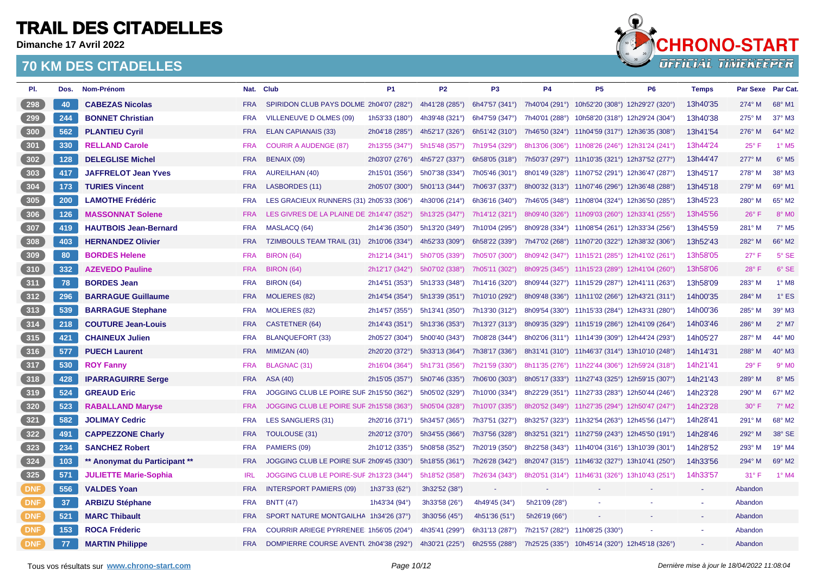**Dimanche 17 Avril 2022**



| PI.          | Dos. | Nom-Prénom                    |            | Nat. Club                                 | <b>P1</b>                | <b>P2</b>      | P <sub>3</sub> | <b>P4</b>      | <b>P5</b>                                      | <b>P6</b> | <b>Temps</b> | <b>Par Sexe</b> | Par Cat.                 |
|--------------|------|-------------------------------|------------|-------------------------------------------|--------------------------|----------------|----------------|----------------|------------------------------------------------|-----------|--------------|-----------------|--------------------------|
| 298          | 40   | <b>CABEZAS Nicolas</b>        | <b>FRA</b> | SPIRIDON CLUB PAYS DOLME 2h04'07 (282°)   |                          | 4h41'28 (285°) | 6h47'57 (341°) |                | 7h40'04 (291°) 10h52'20 (308°) 12h29'27 (320°) |           | 13h40'35     | $274^\circ$ M   | 68° M1                   |
| 299          | 244  | <b>BONNET Christian</b>       | <b>FRA</b> | VILLENEUVE D OLMES (09)                   | 1h53'33 $(180^\circ)$    | 4h39'48 (321°) | 6h47'59 (347°) | 7h40'01 (288°) | 10h58'20 (318°) 12h29'24 (304°)                |           | 13h40'38     | $275^\circ$ M   | 37° M3                   |
| 300          | 562  | <b>PLANTIEU Cyril</b>         | <b>FRA</b> | <b>ELAN CAPIANAIS (33)</b>                | 2h04'18 (285°)           | 4h52'17 (326°) | 6h51'42 (310°) |                | 7h46'50 (324°) 11h04'59 (317°) 12h36'35 (308°) |           | 13h41'54     | 276° M          | 64° M2                   |
| 301          | 330  | <b>RELLAND Carole</b>         | <b>FRA</b> | <b>COURIR A AUDENGE (87)</b>              | 2h13'55 (347°)           | 5h15'48 (357°) | 7h19'54 (329°) |                | 8h13'06 (306°) 11h08'26 (246°) 12h31'24 (241°) |           | 13h44'24     | $25^{\circ}$ F  | $1^\circ$ M <sub>5</sub> |
| 302          | 128  | <b>DELEGLISE Michel</b>       | <b>FRA</b> | BENAIX (09)                               | 2h03'07 (276°)           | 4h57'27 (337°) | 6h58'05 (318°) |                | 7h50'37 (297°) 11h10'35 (321°) 12h37'52 (277°) |           | 13h44'47     | 277° M          | $6^\circ$ M <sub>5</sub> |
| $303$        | 417  | <b>JAFFRELOT Jean Yves</b>    | <b>FRA</b> | <b>AUREILHAN (40)</b>                     | 2h15'01 (356°)           | 5h07'38 (334°) | 7h05'46 (301°) |                | 8h01'49 (328°) 11h07'52 (291°) 12h36'47 (287°) |           | 13h45'17     | 278° M          | 38° M3                   |
| 304          | 173  | <b>TURIES Vincent</b>         | <b>FRA</b> | <b>LASBORDES (11)</b>                     | 2h05'07 (300°)           | 5h01'13 (344°) | 7h06'37 (337°) |                | 8h00'32 (313°) 11h07'46 (296°) 12h36'48 (288°) |           | 13h45'18     | 279° M          | 69° M1                   |
| 305          | 200  | <b>LAMOTHE Frédéric</b>       | <b>FRA</b> | LES GRACIEUX RUNNERS (31) 2h05'33 (306°)  |                          | 4h30'06 (214°) | 6h36'16 (340°) |                | 7h46'05 (348°) 11h08'04 (324°) 12h36'50 (285°) |           | 13h45'23     | $280^\circ$ M   | 65° M2                   |
| 306          | 126  | <b>MASSONNAT Solene</b>       | <b>FRA</b> | LES GIVRES DE LA PLAINE DE 2h14'47 (352°) |                          | 5h13'25 (347°) | 7h14'12 (321°) |                | 8h09'40 (326°) 11h09'03 (260°) 12h33'41 (255°) |           | 13h45'56     | $26^{\circ}$ F  | 8° MO                    |
| 307          | 419  | <b>HAUTBOIS Jean-Bernard</b>  | <b>FRA</b> | MASLACQ (64)                              | 2h14'36 (350°)           | 5h13'20 (349°) | 7h10'04 (295°) |                | 8h09'28 (334°) 11h08'54 (261°) 12h33'34 (256°) |           | 13h45'59     | 281° M          | 7° M5                    |
| 308          | 403  | <b>HERNANDEZ Olivier</b>      | <b>FRA</b> | <b>TZIMBOULS TEAM TRAIL (31)</b>          | 2h10'06 (334°)           | 4h52'33 (309°) | 6h58'22 (339°) |                | 7h47'02 (268°) 11h07'20 (322°) 12h38'32 (306°) |           | 13h52'43     | $282^\circ$ M   | 66° M2                   |
| 309          | 80   | <b>BORDES Helene</b>          | <b>FRA</b> | <b>BIRON (64)</b>                         | 2h12'14 (341°)           | 5h07'05 (339°) | 7h05'07 (300°) |                | 8h09'42 (347°) 11h15'21 (285°) 12h41'02 (261°) |           | 13h58'05     | $27^\circ$ F    | 5° SE                    |
| 310          | 332  | <b>AZEVEDO Pauline</b>        | <b>FRA</b> | <b>BIRON (64)</b>                         | 2h12'17 (342°)           | 5h07'02 (338°) | 7h05'11 (302°) |                | 8h09'25 (345°) 11h15'23 (289°) 12h41'04 (260°) |           | 13h58'06     | 28° F           | 6° SE                    |
| 311          | 78   | <b>BORDES Jean</b>            | <b>FRA</b> | <b>BIRON (64)</b>                         | 2h14'51 (353°)           | 5h13'33 (348°) | 7h14'16 (320°) |                | 8h09'44 (327°) 11h15'29 (287°) 12h41'11 (263°) |           | 13h58'09     | 283° M          | $1^\circ$ M <sub>8</sub> |
| 312          | 296  | <b>BARRAGUE Guillaume</b>     | <b>FRA</b> | <b>MOLIERES (82)</b>                      | 2h14'54 (354°)           | 5h13'39 (351°) | 7h10'10 (292°) |                | 8h09'48 (336°) 11h11'02 (266°) 12h43'21 (311°) |           | 14h00'35     | 284° M          | $1^\circ$ ES             |
| $313$        | 539  | <b>BARRAGUE Stephane</b>      | <b>FRA</b> | <b>MOLIERES (82)</b>                      | 2h14'57 (355°)           | 5h13'41 (350°) | 7h13'30 (312°) |                | 8h09'54 (330°) 11h15'33 (284°) 12h43'31 (280°) |           | 14h00'36     | 285° M          | 39° M3                   |
| 314          | 218  | <b>COUTURE Jean-Louis</b>     | <b>FRA</b> | CASTETNER (64)                            | 2h14'43 (351°)           | 5h13'36 (353°) | 7h13'27 (313°) |                | 8h09'35 (329°) 11h15'19 (286°) 12h41'09 (264°) |           | 14h03'46     | 286° M          | $2^{\circ}$ M7           |
| 315          | 421  | <b>CHAINEUX Julien</b>        | <b>FRA</b> | <b>BLANQUEFORT (33)</b>                   | 2h05'27 (304°)           | 5h00'40 (343°) | 7h08'28 (344°) |                | 8h02'06 (311°) 11h14'39 (309°) 12h44'24 (293°) |           | 14h05'27     | 287° M          | 44° M0                   |
| 316          | 577  | <b>PUECH Laurent</b>          | <b>FRA</b> | MIMIZAN (40)                              | 2h20'20 (372°)           | 5h33'13 (364°) | 7h38'17 (336°) |                | 8h31'41 (310°) 11h46'37 (314°) 13h10'10 (248°) |           | 14h14'31     | $288^\circ$ M   | 40° M3                   |
| 317          | 530  | <b>ROY Fanny</b>              | <b>FRA</b> | <b>BLAGNAC (31)</b>                       | 2h16'04 (364°)           | 5h17'31 (356°) | 7h21'59 (330°) |                | 8h11'35 (276°) 11h22'44 (306°) 12h59'24 (318°) |           | 14h21'41     | 29° F           | $9°$ MO                  |
| 318          | 428  | <b>IPARRAGUIRRE Serge</b>     | <b>FRA</b> | <b>ASA (40)</b>                           | 2h15'05 (357°)           | 5h07'46 (335°) | 7h06'00 (303°) |                | 8h05'17 (333°) 11h27'43 (325°) 12h59'15 (307°) |           | 14h21'43     | 289° M          | $8^\circ$ M <sub>5</sub> |
| $319$        | 524  | <b>GREAUD Eric</b>            | <b>FRA</b> | JOGGING CLUB LE POIRE SUF 2h15'50 (362°)  |                          | 5h05'02 (329°) | 7h10'00 (334°) |                | 8h22'29 (351°) 11h27'33 (283°) 12h50'44 (246°) |           | 14h23'28     | 290° M          | 67° M2                   |
| 320          | 523  | <b>RABALLAND Maryse</b>       | <b>FRA</b> | JOGGING CLUB LE POIRE SUF 2h15'58 (363°)  |                          | 5h05'04 (328°) | 7h10'07 (335°) |                | 8h20'52 (349°) 11h27'35 (294°) 12h50'47 (247°) |           | 14h23'28     | $30^\circ$ F    | 7° M2                    |
| $\sqrt{321}$ | 582  | <b>JOLIMAY Cedric</b>         | <b>FRA</b> | <b>LES SANGLIERS (31)</b>                 | 2h20'16 (371°)           | 5h34'57 (365°) | 7h37'51 (327°) |                | 8h32'57 (323°) 11h32'54 (263°) 12h45'56 (147°) |           | 14h28'41     | $291^\circ$ M   | 68° M2                   |
| $322$        | 491  | <b>CAPPEZZONE Charly</b>      | <b>FRA</b> | TOULOUSE (31)                             | 2h20'12 (370°)           | 5h34'55 (366°) | 7h37'56 (328°) |                | 8h32'51 (321°) 11h27'59 (243°) 12h45'50 (191°) |           | 14h28'46     | 292° M          | 38° SE                   |
| 323          | 234  | <b>SANCHEZ Robert</b>         | <b>FRA</b> | PAMIERS (09)                              | 2h10'12 (335°)           | 5h08'58 (352°) | 7h20'19 (350°) |                | 8h22'58 (343°) 11h40'04 (316°) 13h10'39 (301°) |           | 14h28'52     | 293° M          | 19° M4                   |
| 324          | 103  | ** Anonymat du Participant ** | <b>FRA</b> | JOGGING CLUB LE POIRE SUF 2h09'45 (330°)  |                          | 5h18'55 (361°) | 7h26'28 (342°) |                | 8h20'47 (315°) 11h46'32 (327°) 13h10'41 (250°) |           | 14h33'56     | 294° M          | 69° M2                   |
| $325$        | 571  | <b>JULIETTE Marie-Sophia</b>  | <b>IRL</b> | JOGGING CLUB LE POIRE-SUF 2h13'23 (344°)  |                          | 5h18'52 (358°) | 7h26'34 (343°) |                | 8h20'51 (314°) 11h46'31 (326°) 13h10'43 (251°) |           | 14h33'57     | $31^\circ$ F    | $1^\circ$ M4             |
| <b>DNF</b>   | 556  | <b>VALDES Yoan</b>            | <b>FRA</b> | <b>INTERSPORT PAMIERS (09)</b>            | 1h37'33 (62 $^{\circ}$ ) | 3h32'52 (38°)  |                |                |                                                |           |              | Abandon         |                          |
| <b>DNF</b>   | 37   | <b>ARBIZU Stéphane</b>        | <b>FRA</b> | <b>BNTT (47)</b>                          | 1h43'34 (94°)            | 3h33'58 (26°)  | 4h49'45 (34°)  | 5h21'09 (28°)  |                                                |           |              | Abandon         |                          |
| <b>DNF</b>   | 521  | <b>MARC Thibault</b>          | <b>FRA</b> | SPORT NATURE MONTGAILHA 1h34'26 (37°)     |                          | 3h30'56 (45°)  | 4h51'36 (51°)  | 5h26'19 (66°)  |                                                |           |              | Abandon         |                          |
| <b>DNF</b>   | 153  | <b>ROCA Fréderic</b>          | <b>FRA</b> | COURRIR ARIEGE PYRRENEE: 1h56'05 (204°)   |                          | 4h35'41 (299°) | 6h31'13 (287°) | 7h21'57 (282°) | 11h08'25 (330°)                                |           |              | Abandon         |                          |
| <b>DNF</b>   | 77   | <b>MARTIN Philippe</b>        | <b>FRA</b> | DOMPIERRE COURSE AVENTL 2h04'38 (292°)    |                          | 4h30'21 (225°) | 6h25'55 (288°) |                | 7h25'25 (335°) 10h45'14 (320°) 12h45'18 (326°) |           |              | Abandon         |                          |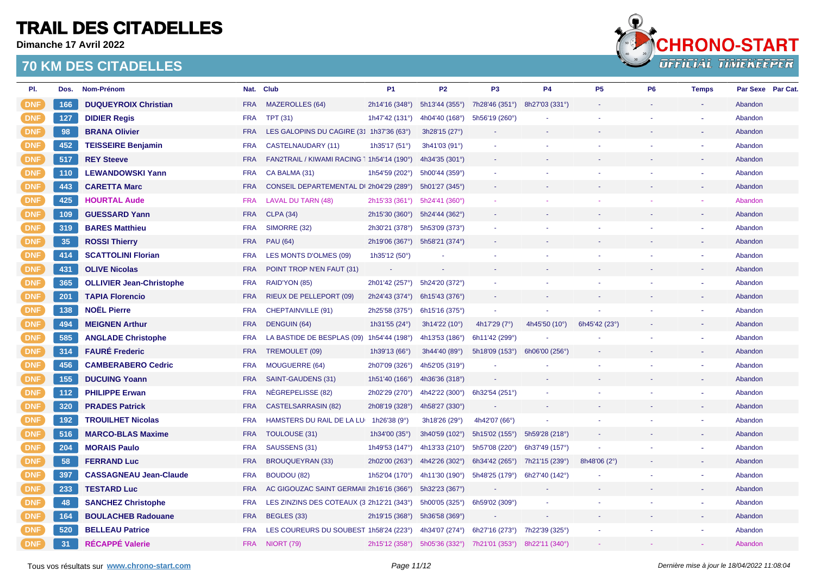**Dimanche 17 Avril 2022**



| PI.        | Dos. | Nom-Prénom                      |            | Nat. Club                                  | <b>P1</b>                     | <b>P2</b>                     | P <sub>3</sub>                | <b>P4</b>      | P <sub>5</sub> | P <sub>6</sub> | <b>Temps</b> | Par Sexe Par Cat. |  |
|------------|------|---------------------------------|------------|--------------------------------------------|-------------------------------|-------------------------------|-------------------------------|----------------|----------------|----------------|--------------|-------------------|--|
| <b>DNF</b> | 166  | <b>DUQUEYROIX Christian</b>     | <b>FRA</b> | <b>MAZEROLLES (64)</b>                     | 2h14'16 (348°)                | 5h13'44 (355°)                | 7h28'46 (351°)                | 8h27'03 (331°) |                |                |              | Abandon           |  |
| <b>DNF</b> | 127  | <b>DIDIER Regis</b>             | <b>FRA</b> | <b>TPT (31)</b>                            | 1h47'42 (131°)                | 4h04'40 (168°)                | 5h56'19 (260°)                |                |                |                |              | Abandon           |  |
| <b>DNF</b> | 98   | <b>BRANA Olivier</b>            | <b>FRA</b> | LES GALOPINS DU CAGIRE (31 1h37'36 (63°)   |                               | 3h28'15 (27°)                 |                               |                |                |                |              | Abandon           |  |
| <b>DNF</b> | 452  | <b>TEISSEIRE Benjamin</b>       | <b>FRA</b> | CASTELNAUDARY (11)                         | 1h35'17 (51°)                 | 3h41'03 (91°)                 |                               |                |                |                |              | Abandon           |  |
| <b>DNF</b> | 517  | <b>REY Steeve</b>               | <b>FRA</b> | FAN2TRAIL / KIWAMI RACING 1 1h54'14 (190°) |                               | 4h34'35 (301°)                |                               |                |                |                |              | Abandon           |  |
| <b>DNF</b> | 110  | <b>LEWANDOWSKI Yann</b>         | <b>FRA</b> | CA BALMA (31)                              | 1h54'59 (202°)                | 5h00'44 (359°)                |                               |                |                |                |              | Abandon           |  |
| <b>DNF</b> | 443  | <b>CARETTA Marc</b>             | <b>FRA</b> | CONSEIL DEPARTEMENTAL DI 2h04'29 (289°)    |                               | 5h01'27 (345°)                |                               |                |                |                |              | Abandon           |  |
| <b>DNF</b> | 425  | <b>HOURTAL Aude</b>             | <b>FRA</b> | <b>LAVAL DU TARN (48)</b>                  | 2h15'33 (361°) 5h24'41 (360°) |                               |                               |                |                |                |              | Abandon           |  |
| <b>DNF</b> | 109  | <b>GUESSARD Yann</b>            | <b>FRA</b> | <b>CLPA (34)</b>                           | 2h15'30 (360°) 5h24'44 (362°) |                               |                               |                |                |                |              | Abandon           |  |
| <b>DNF</b> | 319  | <b>BARES Matthieu</b>           | <b>FRA</b> | SIMORRE (32)                               | 2h30'21 (378°)                | 5h53'09 (373°)                |                               |                |                |                |              | Abandon           |  |
| <b>DNF</b> | 35   | <b>ROSSI Thierry</b>            | <b>FRA</b> | <b>PAU (64)</b>                            | 2h19'06 (367°)                | 5h58'21 (374°)                |                               |                |                |                |              | Abandon           |  |
| <b>DNF</b> | 414  | <b>SCATTOLINI Florian</b>       | <b>FRA</b> | LES MONTS D'OLMES (09)                     | 1h35'12 (50°)                 |                               |                               |                |                |                |              | Abandon           |  |
| <b>DNF</b> | 431  | <b>OLIVE Nicolas</b>            | <b>FRA</b> | POINT TROP N'EN FAUT (31)                  |                               |                               |                               |                |                |                |              | Abandon           |  |
| <b>DNF</b> | 365  | <b>OLLIVIER Jean-Christophe</b> | <b>FRA</b> | RAID'YON (85)                              | 2h01'42 (257°)                | 5h24'20 (372°)                |                               |                |                |                |              | Abandon           |  |
| <b>DNF</b> | 201  | <b>TAPIA Florencio</b>          | <b>FRA</b> | RIEUX DE PELLEPORT (09)                    | 2h24'43 (374°) 6h15'43 (376°) |                               |                               |                |                |                |              | Abandon           |  |
| <b>DNF</b> | 138  | <b>NOËL Pierre</b>              | <b>FRA</b> | CHEPTAINVILLE (91)                         | 2h25'58 (375°)                | 6h15'16 (375°)                |                               |                |                |                |              | Abandon           |  |
| <b>DNF</b> | 494  | <b>MEIGNEN Arthur</b>           | <b>FRA</b> | <b>DENGUIN (64)</b>                        | 1h31'55 $(24^{\circ})$        | 3h14'22 (10°)                 | 4h17'29 (7°)                  | 4h45'50 (10°)  | 6h45'42 (23°)  |                |              | Abandon           |  |
| <b>DNF</b> | 585  | <b>ANGLADE Christophe</b>       | <b>FRA</b> | LA BASTIDE DE BESPLAS (09) 1h54'44 (198°)  |                               | 4h13'53 (186°)                | 6h11'42 (299°)                |                |                |                |              | Abandon           |  |
| <b>DNF</b> | 314  | <b>FAURE Frederic</b>           | <b>FRA</b> | TREMOULET (09)                             | 1h39'13 (66°)                 | 3h44'40 (89°)                 | 5h18'09 (153°)                | 6h06'00 (256°) |                |                |              | Abandon           |  |
| <b>DNF</b> | 456  | <b>CAMBERABERO Cedric</b>       | <b>FRA</b> | <b>MOUGUERRE (64)</b>                      | 2h07'09 (326°)                | 4h52'05 (319°)                |                               |                |                |                |              | Abandon           |  |
| <b>DNF</b> | 155  | <b>DUCUING Yoann</b>            | <b>FRA</b> | SAINT-GAUDENS (31)                         | 1h51'40 $(166^{\circ})$       | 4h36'36 (318°)                |                               |                |                |                |              | Abandon           |  |
| <b>DNF</b> | 112  | <b>PHILIPPE Erwan</b>           | <b>FRA</b> | NEGREPELISSE (82)                          | 2h02'29 (270°)                | 4h42'22 (300°)                | 6h32'54 (251°)                |                |                |                |              | Abandon           |  |
| <b>DNF</b> | 320  | <b>PRADES Patrick</b>           | <b>FRA</b> | <b>CASTELSARRASIN (82)</b>                 | 2h08'19 (328°)                | 4h58'27 (330°)                |                               |                |                |                |              | Abandon           |  |
| <b>DNF</b> | 192  | <b>TROUILHET Nicolas</b>        | <b>FRA</b> | HAMSTERS DU RAIL DE LA LU 1h26'38 (9°)     |                               | 3h18'26 (29°)                 | 4h42'07 (66°)                 |                |                |                |              | Abandon           |  |
| <b>DNF</b> | 516  | <b>MARCO-BLAS Maxime</b>        | <b>FRA</b> | TOULOUSE (31)                              | 1h34'00 $(35^{\circ})$        | 3h40'59 (102°)                | 5h15'02 (155°) 5h59'28 (218°) |                |                |                |              | Abandon           |  |
| <b>DNF</b> | 204  | <b>MORAIS Paulo</b>             | <b>FRA</b> | SAUSSENS (31)                              | 1h49'53 (147°)                | 4h13'33 (210°)                | 5h57'08 (220°)                | 6h37'49 (157°) |                |                |              | Abandon           |  |
| <b>DNF</b> | 58   | <b>FERRAND Luc</b>              | <b>FRA</b> | <b>BROUQUEYRAN (33)</b>                    | 2h02'00 (263°)                | 4h42'26 (302°)                | 6h34'42 (265°) 7h21'15 (239°) |                | 8h48'06 (2°)   |                |              | Abandon           |  |
| <b>DNF</b> | 397  | <b>CASSAGNEAU Jean-Claude</b>   | <b>FRA</b> | BOUDOU (82)                                | 1h52'04 (170°)                | 4h11'30 (190°)                | 5h48'25 (179°)                | 6h27'40 (142°) |                |                |              | Abandon           |  |
| <b>DNF</b> | 233  | <b>TESTARD Luc</b>              | <b>FRA</b> | AC GIGOUZAC SAINT GERMAII 2h16'16 (366°)   |                               | 5h32'23 (367°)                |                               |                |                |                |              | Abandon           |  |
| <b>DNF</b> | 48   | <b>SANCHEZ Christophe</b>       | <b>FRA</b> | LES ZINZINS DES COTEAUX (3 2h12'21 (343°)  |                               | 5h00'05 (325°)                | 6h59'02 (309°)                |                |                |                |              | Abandon           |  |
| <b>DNF</b> | 164  | <b>BOULACHEB Radouane</b>       | <b>FRA</b> | BEGLES (33)                                | 2h19'15 (368°)                | 5h36'58 (369°)                |                               |                |                |                |              | Abandon           |  |
| <b>DNF</b> | 520  | <b>BELLEAU Patrice</b>          | <b>FRA</b> | LES COUREURS DU SOUBEST 1h58'24 (223°)     |                               | 4h34'07 (274°)                | 6h27'16 (273°)                | 7h22'39 (325°) |                |                |              | Abandon           |  |
| <b>DNF</b> | 31   | <b>RÉCAPPÉ Valerie</b>          | <b>FRA</b> | <b>NIORT (79)</b>                          |                               | 2h15'12 (358°) 5h05'36 (332°) | 7h21'01 (353°)                | 8h22'11 (340°) |                |                |              | Abandon           |  |